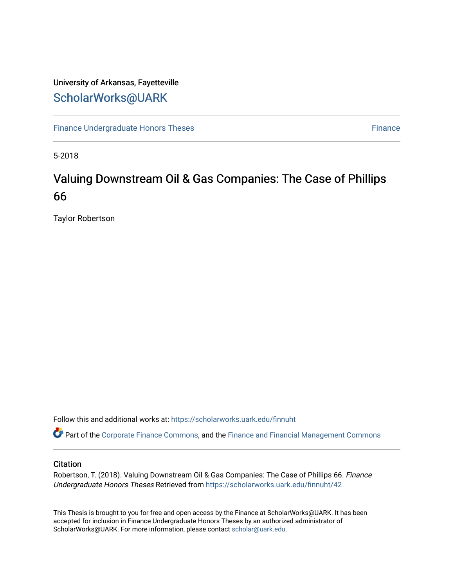## University of Arkansas, Fayetteville [ScholarWorks@UARK](https://scholarworks.uark.edu/)

[Finance Undergraduate Honors Theses](https://scholarworks.uark.edu/finnuht) **[Finance](https://scholarworks.uark.edu/finn) Executes** Finance Finance

5-2018

# Valuing Downstream Oil & Gas Companies: The Case of Phillips 66

Taylor Robertson

Follow this and additional works at: [https://scholarworks.uark.edu/finnuht](https://scholarworks.uark.edu/finnuht?utm_source=scholarworks.uark.edu%2Ffinnuht%2F42&utm_medium=PDF&utm_campaign=PDFCoverPages)

Part of the [Corporate Finance Commons](http://network.bepress.com/hgg/discipline/629?utm_source=scholarworks.uark.edu%2Ffinnuht%2F42&utm_medium=PDF&utm_campaign=PDFCoverPages), and the [Finance and Financial Management Commons](http://network.bepress.com/hgg/discipline/631?utm_source=scholarworks.uark.edu%2Ffinnuht%2F42&utm_medium=PDF&utm_campaign=PDFCoverPages) 

#### **Citation**

Robertson, T. (2018). Valuing Downstream Oil & Gas Companies: The Case of Phillips 66. Finance Undergraduate Honors Theses Retrieved from [https://scholarworks.uark.edu/finnuht/42](https://scholarworks.uark.edu/finnuht/42?utm_source=scholarworks.uark.edu%2Ffinnuht%2F42&utm_medium=PDF&utm_campaign=PDFCoverPages)

This Thesis is brought to you for free and open access by the Finance at ScholarWorks@UARK. It has been accepted for inclusion in Finance Undergraduate Honors Theses by an authorized administrator of ScholarWorks@UARK. For more information, please contact [scholar@uark.edu](mailto:scholar@uark.edu).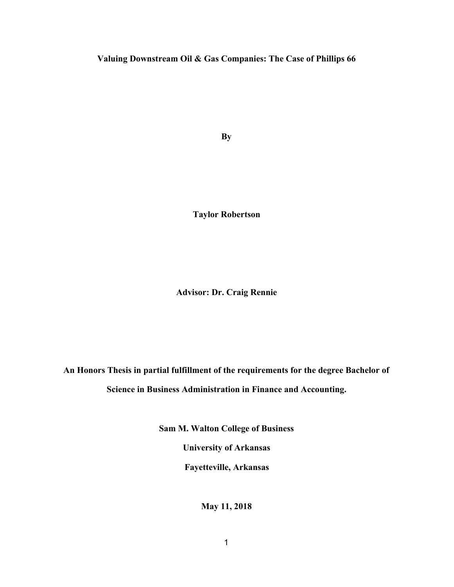#### **Valuing Downstream Oil & Gas Companies: The Case of Phillips 66**

**By**

**Taylor Robertson**

**Advisor: Dr. Craig Rennie**

**An Honors Thesis in partial fulfillment of the requirements for the degree Bachelor of Science in Business Administration in Finance and Accounting.**

**Sam M. Walton College of Business**

**University of Arkansas**

**Fayetteville, Arkansas**

**May 11, 2018**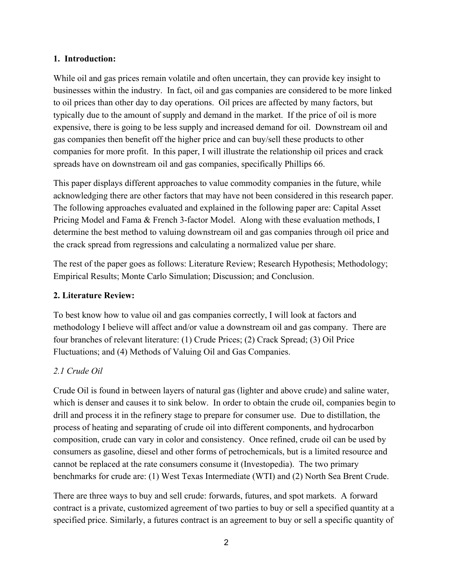#### **1. Introduction:**

While oil and gas prices remain volatile and often uncertain, they can provide key insight to businesses within the industry. In fact, oil and gas companies are considered to be more linked to oil prices than other day to day operations. Oil prices are affected by many factors, but typically due to the amount of supply and demand in the market. If the price of oil is more expensive, there is going to be less supply and increased demand for oil. Downstream oil and gas companies then benefit off the higher price and can buy/sell these products to other companies for more profit. In this paper, I will illustrate the relationship oil prices and crack spreads have on downstream oil and gas companies, specifically Phillips 66.

This paper displays different approaches to value commodity companies in the future, while acknowledging there are other factors that may have not been considered in this research paper. The following approaches evaluated and explained in the following paper are: Capital Asset Pricing Model and Fama & French 3-factor Model. Along with these evaluation methods, I determine the best method to valuing downstream oil and gas companies through oil price and the crack spread from regressions and calculating a normalized value per share.

The rest of the paper goes as follows: Literature Review; Research Hypothesis; Methodology; Empirical Results; Monte Carlo Simulation; Discussion; and Conclusion.

#### **2. Literature Review:**

To best know how to value oil and gas companies correctly, I will look at factors and methodology I believe will affect and/or value a downstream oil and gas company. There are four branches of relevant literature: (1) Crude Prices; (2) Crack Spread; (3) Oil Price Fluctuations; and (4) Methods of Valuing Oil and Gas Companies.

#### *2.1 Crude Oil*

Crude Oil is found in between layers of natural gas (lighter and above crude) and saline water, which is denser and causes it to sink below. In order to obtain the crude oil, companies begin to drill and process it in the refinery stage to prepare for consumer use. Due to distillation, the process of heating and separating of crude oil into different components, and hydrocarbon composition, crude can vary in color and consistency. Once refined, crude oil can be used by consumers as gasoline, diesel and other forms of petrochemicals, but is a limited resource and cannot be replaced at the rate consumers consume it (Investopedia). The two primary benchmarks for crude are: (1) West Texas Intermediate (WTI) and (2) North Sea Brent Crude.

There are three ways to buy and sell crude: forwards, futures, and spot markets. A forward contract is a private, customized agreement of two parties to buy or sell a specified quantity at a specified price. Similarly, a futures contract is an agreement to buy or sell a specific quantity of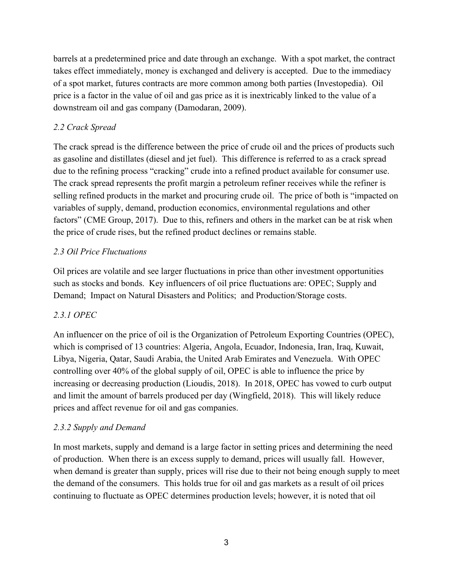barrels at a predetermined price and date through an exchange. With a spot market, the contract takes effect immediately, money is exchanged and delivery is accepted. Due to the immediacy of a spot market, futures contracts are more common among both parties (Investopedia). Oil price is a factor in the value of oil and gas price as it is inextricably linked to the value of a downstream oil and gas company (Damodaran, 2009).

#### *2.2 Crack Spread*

The crack spread is the difference between the price of crude oil and the prices of products such as gasoline and distillates (diesel and jet fuel). This difference is referred to as a crack spread due to the refining process "cracking" crude into a refined product available for consumer use. The crack spread represents the profit margin a petroleum refiner receives while the refiner is selling refined products in the market and procuring crude oil. The price of both is "impacted on variables of supply, demand, production economics, environmental regulations and other factors" (CME Group, 2017). Due to this, refiners and others in the market can be at risk when the price of crude rises, but the refined product declines or remains stable.

#### *2.3 Oil Price Fluctuations*

Oil prices are volatile and see larger fluctuations in price than other investment opportunities such as stocks and bonds. Key influencers of oil price fluctuations are: OPEC; Supply and Demand; Impact on Natural Disasters and Politics; and Production/Storage costs.

### *2.3.1 OPEC*

An influencer on the price of oil is the Organization of Petroleum Exporting Countries (OPEC), which is comprised of 13 countries: Algeria, Angola, Ecuador, Indonesia, Iran, Iraq, Kuwait, Libya, Nigeria, Qatar, Saudi Arabia, the United Arab Emirates and Venezuela. With OPEC controlling over 40% of the global supply of oil, OPEC is able to influence the price by increasing or decreasing production (Lioudis, 2018). In 2018, OPEC has vowed to curb output and limit the amount of barrels produced per day (Wingfield, 2018). This will likely reduce prices and affect revenue for oil and gas companies.

### *2.3.2 Supply and Demand*

In most markets, supply and demand is a large factor in setting prices and determining the need of production. When there is an excess supply to demand, prices will usually fall. However, when demand is greater than supply, prices will rise due to their not being enough supply to meet the demand of the consumers. This holds true for oil and gas markets as a result of oil prices continuing to fluctuate as OPEC determines production levels; however, it is noted that oil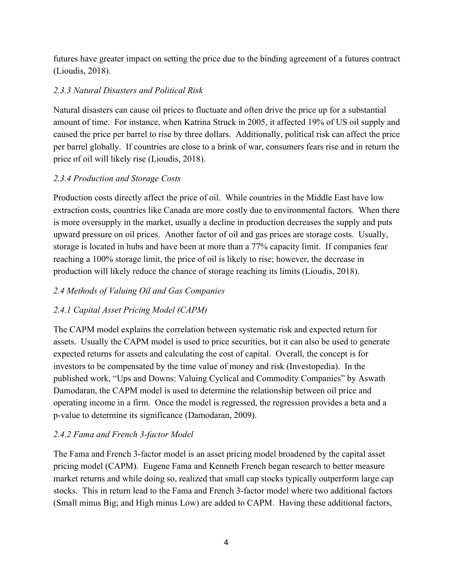futures have greater impact on setting the price due to the binding agreement of a futures contract (Lioudis, 2018).

### *2.3.3 Natural Disasters and Political Risk*

Natural disasters can cause oil prices to fluctuate and often drive the price up for a substantial amount of time. For instance, when Katrina Struck in 2005, it affected 19% of US oil supply and caused the price per barrel to rise by three dollars. Additionally, political risk can affect the price per barrel globally. If countries are close to a brink of war, consumers fears rise and in return the price of oil will likely rise (Lioudis, 2018).

### *2.3.4 Production and Storage Costs*

Production costs directly affect the price of oil. While countries in the Middle East have low extraction costs, countries like Canada are more costly due to environmental factors. When there is more oversupply in the market, usually a decline in production decreases the supply and puts upward pressure on oil prices. Another factor of oil and gas prices are storage costs. Usually, storage is located in hubs and have been at more than a 77% capacity limit. If companies fear reaching a 100% storage limit, the price of oil is likely to rise; however, the decrease in production will likely reduce the chance of storage reaching its limits (Lioudis, 2018).

### *2.4 Methods of Valuing Oil and Gas Companies*

### *2.4.1 Capital Asset Pricing Model (CAPM)*

The CAPM model explains the correlation between systematic risk and expected return for assets. Usually the CAPM model is used to price securities, but it can also be used to generate expected returns for assets and calculating the cost of capital. Overall, the concept is for investors to be compensated by the time value of money and risk (Investopedia). In the published work, "Ups and Downs: Valuing Cyclical and Commodity Companies" by Aswath Damodaran, the CAPM model is used to determine the relationship between oil price and operating income in a firm. Once the model is regressed, the regression provides a beta and a p-value to determine its significance (Damodaran, 2009).

### *2.4.2 Fama and French 3-factor Model*

The Fama and French 3-factor model is an asset pricing model broadened by the capital asset pricing model (CAPM). Eugene Fama and Kenneth French began research to better measure market returns and while doing so, realized that small cap stocks typically outperform large cap stocks. This in return lead to the Fama and French 3-factor model where two additional factors (Small minus Big; and High minus Low) are added to CAPM. Having these additional factors,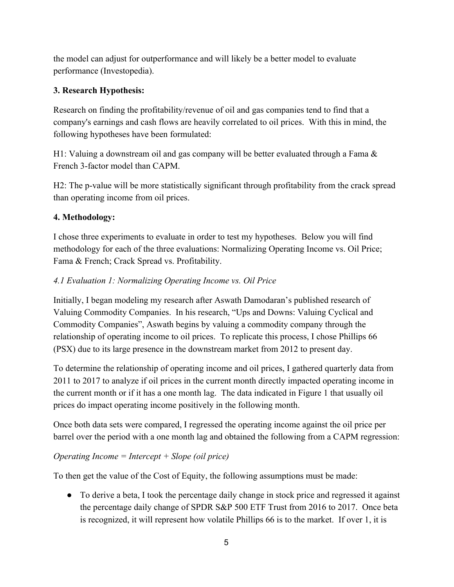the model can adjust for outperformance and will likely be a better model to evaluate performance (Investopedia).

### **3. Research Hypothesis:**

Research on finding the profitability/revenue of oil and gas companies tend to find that a company's earnings and cash flows are heavily correlated to oil prices. With this in mind, the following hypotheses have been formulated:

H1: Valuing a downstream oil and gas company will be better evaluated through a Fama & French 3-factor model than CAPM.

H2: The p-value will be more statistically significant through profitability from the crack spread than operating income from oil prices.

### **4. Methodology:**

I chose three experiments to evaluate in order to test my hypotheses. Below you will find methodology for each of the three evaluations: Normalizing Operating Income vs. Oil Price; Fama & French; Crack Spread vs. Profitability.

### *4.1 Evaluation 1: Normalizing Operating Income vs. Oil Price*

Initially, I began modeling my research after Aswath Damodaran's published research of Valuing Commodity Companies. In his research, "Ups and Downs: Valuing Cyclical and Commodity Companies", Aswath begins by valuing a commodity company through the relationship of operating income to oil prices. To replicate this process, I chose Phillips 66 (PSX) due to its large presence in the downstream market from 2012 to present day.

To determine the relationship of operating income and oil prices, I gathered quarterly data from 2011 to 2017 to analyze if oil prices in the current month directly impacted operating income in the current month or if it has a one month lag. The data indicated in Figure 1 that usually oil prices do impact operating income positively in the following month.

Once both data sets were compared, I regressed the operating income against the oil price per barrel over the period with a one month lag and obtained the following from a CAPM regression:

### *Operating Income = Intercept + Slope (oil price)*

To then get the value of the Cost of Equity, the following assumptions must be made:

• To derive a beta, I took the percentage daily change in stock price and regressed it against the percentage daily change of SPDR S&P 500 ETF Trust from 2016 to 2017. Once beta is recognized, it will represent how volatile Phillips 66 is to the market. If over 1, it is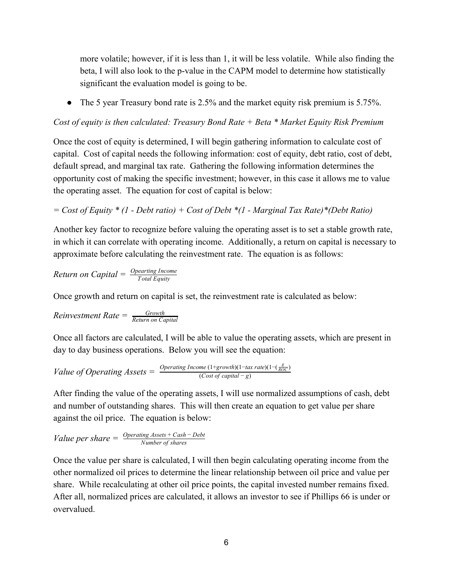more volatile; however, if it is less than 1, it will be less volatile. While also finding the beta, I will also look to the p-value in the CAPM model to determine how statistically significant the evaluation model is going to be.

• The 5 year Treasury bond rate is 2.5% and the market equity risk premium is 5.75%.

*Cost of equity is then calculated: Treasury Bond Rate + Beta \* Market Equity Risk Premium*

Once the cost of equity is determined, I will begin gathering information to calculate cost of capital. Cost of capital needs the following information: cost of equity, debt ratio, cost of debt, default spread, and marginal tax rate. Gathering the following information determines the opportunity cost of making the specific investment; however, in this case it allows me to value the operating asset. The equation for cost of capital is below:

*= Cost of Equity \* (1 - Debt ratio) + Cost of Debt \*(1 - Marginal Tax Rate)\*(Debt Ratio)*

Another key factor to recognize before valuing the operating asset is to set a stable growth rate, in which it can correlate with operating income. Additionally, a return on capital is necessary to approximate before calculating the reinvestment rate. The equation is as follows:

*Return on Capital =* 
$$
\frac{Operating\; Income}{Total\; Equity}
$$

Once growth and return on capital is set, the reinvestment rate is calculated as below:

$$
Reinvestment Rate = \frac{Growth}{Return on Capital}
$$

Once all factors are calculated, I will be able to value the operating assets, which are present in day to day business operations. Below you will see the equation:

*Value of Operating Assets* = 
$$
\frac{Operating\ Income(1+growth)(1-tax\ rate)(1-(\frac{g}{ROC})}{(Cost\ of\ capital - g)}
$$

After finding the value of the operating assets, I will use normalized assumptions of cash, debt and number of outstanding shares. This will then create an equation to get value per share against the oil price. The equation is below:

Value per share = 
$$
\frac{Operating\,\,Assets + Cash - Debt}{Number\,\,of\,\,shares}
$$

Once the value per share is calculated, I will then begin calculating operating income from the other normalized oil prices to determine the linear relationship between oil price and value per share. While recalculating at other oil price points, the capital invested number remains fixed. After all, normalized prices are calculated, it allows an investor to see if Phillips 66 is under or overvalued.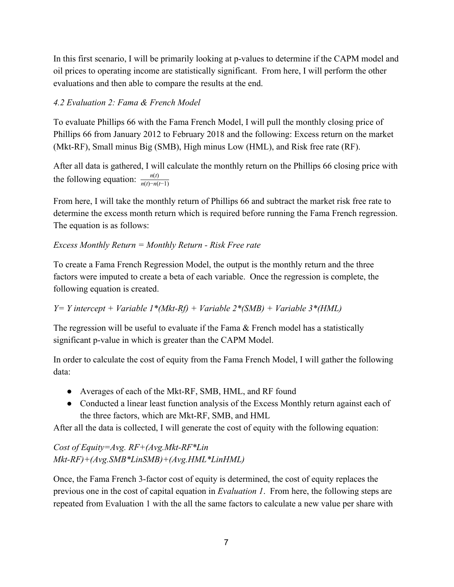In this first scenario, I will be primarily looking at p-values to determine if the CAPM model and oil prices to operating income are statistically significant. From here, I will perform the other evaluations and then able to compare the results at the end.

#### *4.2 Evaluation 2: Fama & French Model*

To evaluate Phillips 66 with the Fama French Model, I will pull the monthly closing price of Phillips 66 from January 2012 to February 2018 and the following: Excess return on the market (Mkt-RF), Small minus Big (SMB), High minus Low (HML), and Risk free rate (RF).

After all data is gathered, I will calculate the monthly return on the Phillips 66 closing price with the following equation:  $\frac{n(t)}{n(t)-n(t-1)}$ 

From here, I will take the monthly return of Phillips 66 and subtract the market risk free rate to determine the excess month return which is required before running the Fama French regression. The equation is as follows:

#### *Excess Monthly Return = Monthly Return - Risk Free rate*

To create a Fama French Regression Model, the output is the monthly return and the three factors were imputed to create a beta of each variable. Once the regression is complete, the following equation is created.

*Y= Y intercept + Variable 1\*(Mkt-Rf) + Variable 2\*(SMB) + Variable 3\*(HML)*

The regression will be useful to evaluate if the Fama & French model has a statistically significant p-value in which is greater than the CAPM Model.

In order to calculate the cost of equity from the Fama French Model, I will gather the following data:

- Averages of each of the Mkt-RF, SMB, HML, and RF found
- Conducted a linear least function analysis of the Excess Monthly return against each of the three factors, which are Mkt-RF, SMB, and HML

After all the data is collected, I will generate the cost of equity with the following equation:

*Cost of Equity=Avg. RF+(Avg.Mkt-RF\*Lin Mkt-RF)+(Avg.SMB\*LinSMB)+(Avg.HML\*LinHML)*

Once, the Fama French 3-factor cost of equity is determined, the cost of equity replaces the previous one in the cost of capital equation in *Evaluation 1*. From here, the following steps are repeated from Evaluation 1 with the all the same factors to calculate a new value per share with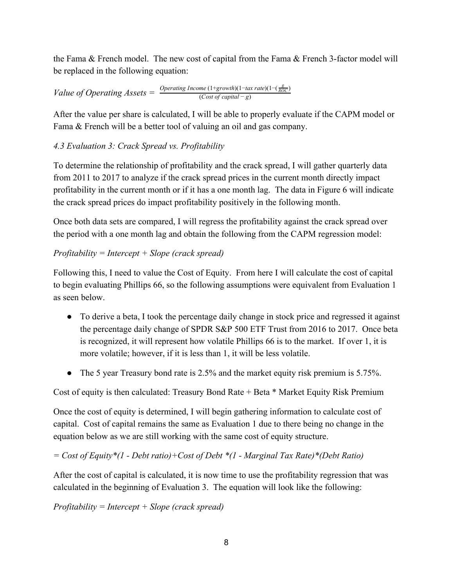the Fama & French model. The new cost of capital from the Fama & French 3-factor model will be replaced in the following equation:

*Value of Operating Assets* =  $\frac{Operator}{(Cost of capital - g)}$ 

After the value per share is calculated, I will be able to properly evaluate if the CAPM model or Fama & French will be a better tool of valuing an oil and gas company.

### *4.3 Evaluation 3: Crack Spread vs. Profitability*

To determine the relationship of profitability and the crack spread, I will gather quarterly data from 2011 to 2017 to analyze if the crack spread prices in the current month directly impact profitability in the current month or if it has a one month lag. The data in Figure 6 will indicate the crack spread prices do impact profitability positively in the following month.

Once both data sets are compared, I will regress the profitability against the crack spread over the period with a one month lag and obtain the following from the CAPM regression model:

### *Profitability = Intercept + Slope (crack spread)*

Following this, I need to value the Cost of Equity. From here I will calculate the cost of capital to begin evaluating Phillips 66, so the following assumptions were equivalent from Evaluation 1 as seen below.

- To derive a beta, I took the percentage daily change in stock price and regressed it against the percentage daily change of SPDR S&P 500 ETF Trust from 2016 to 2017. Once beta is recognized, it will represent how volatile Phillips 66 is to the market. If over 1, it is more volatile; however, if it is less than 1, it will be less volatile.
- The 5 year Treasury bond rate is 2.5% and the market equity risk premium is 5.75%.

Cost of equity is then calculated: Treasury Bond Rate + Beta \* Market Equity Risk Premium

Once the cost of equity is determined, I will begin gathering information to calculate cost of capital. Cost of capital remains the same as Evaluation 1 due to there being no change in the equation below as we are still working with the same cost of equity structure.

### *= Cost of Equity\*(1 - Debt ratio)+Cost of Debt \*(1 - Marginal Tax Rate)\*(Debt Ratio)*

After the cost of capital is calculated, it is now time to use the profitability regression that was calculated in the beginning of Evaluation 3. The equation will look like the following:

*Profitability = Intercept + Slope (crack spread)*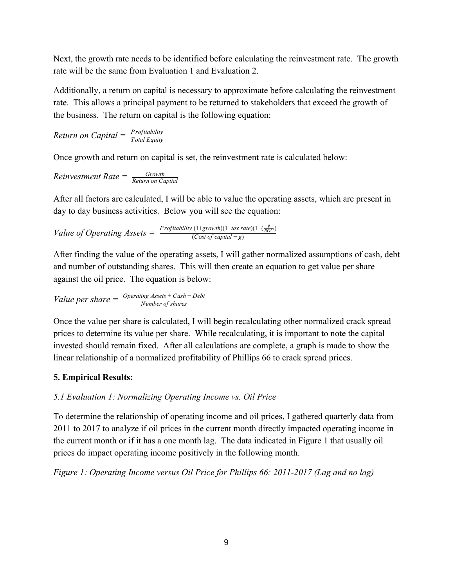Next, the growth rate needs to be identified before calculating the reinvestment rate. The growth rate will be the same from Evaluation 1 and Evaluation 2.

Additionally, a return on capital is necessary to approximate before calculating the reinvestment rate. This allows a principal payment to be returned to stakeholders that exceed the growth of the business. The return on capital is the following equation:

*Return on Capital = 
$$
\frac{Profitability}{Total Equity}
$$*

Once growth and return on capital is set, the reinvestment rate is calculated below:

$$
Reinvestment Rate = \frac{Growth}{Return on Capital}
$$

After all factors are calculated, I will be able to value the operating assets, which are present in day to day business activities. Below you will see the equation:

*Value of Operating Assets* =  $\frac{Profitability(1+growth)(1-tax rate)(1-(\frac{g}{ROC})}{(Cost of capital - g)}$ 

After finding the value of the operating assets, I will gather normalized assumptions of cash, debt and number of outstanding shares. This will then create an equation to get value per share against the oil price. The equation is below:

Value per share = 
$$
\frac{Operating\,\,Assets + Cash - Debt}{Number\,\,of\,\,shares}
$$

Once the value per share is calculated, I will begin recalculating other normalized crack spread prices to determine its value per share. While recalculating, it is important to note the capital invested should remain fixed. After all calculations are complete, a graph is made to show the linear relationship of a normalized profitability of Phillips 66 to crack spread prices.

### **5. Empirical Results:**

### *5.1 Evaluation 1: Normalizing Operating Income vs. Oil Price*

To determine the relationship of operating income and oil prices, I gathered quarterly data from 2011 to 2017 to analyze if oil prices in the current month directly impacted operating income in the current month or if it has a one month lag. The data indicated in Figure 1 that usually oil prices do impact operating income positively in the following month.

*Figure 1: Operating Income versus Oil Price for Phillips 66: 2011-2017 (Lag and no lag)*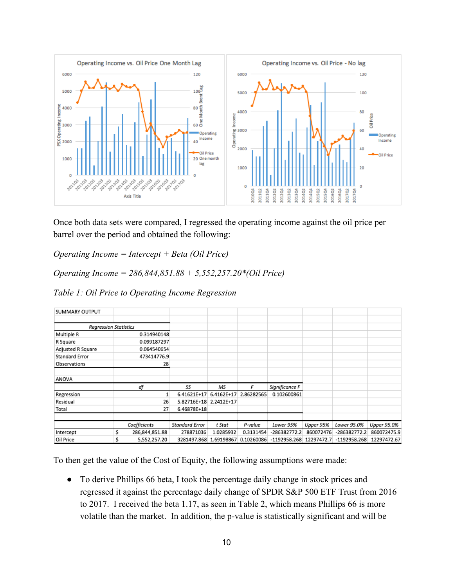

Once both data sets were compared, I regressed the operating income against the oil price per barrel over the period and obtained the following:

*Operating Income = Intercept + Beta (Oil Price)*

*Operating Income = 286,844,851.88 + 5,552,257.20\*(Oil Price)*

*Table 1: Oil Price to Operating Income Regression*

| SUMMARY OUTPUT               |                     |                        |            |                       |                           |           |                |             |
|------------------------------|---------------------|------------------------|------------|-----------------------|---------------------------|-----------|----------------|-------------|
|                              |                     |                        |            |                       |                           |           |                |             |
| <b>Regression Statistics</b> |                     |                        |            |                       |                           |           |                |             |
| Multiple R                   | 0.314940148         |                        |            |                       |                           |           |                |             |
| R Square                     | 0.099187297         |                        |            |                       |                           |           |                |             |
| Adjusted R Square            | 0.064540654         |                        |            |                       |                           |           |                |             |
| Standard Error               | 473414776.9         |                        |            |                       |                           |           |                |             |
| Observations                 | 28                  |                        |            |                       |                           |           |                |             |
| ANOVA                        |                     |                        |            |                       |                           |           |                |             |
|                              | df                  | SS                     | MS         |                       | Significance F            |           |                |             |
| Regression                   |                     | 6.41621E+17            | 6.4162E+17 | 2.86282565            | 0.102600861               |           |                |             |
| Residual                     | 26                  | 5.82716E+18 2.2412E+17 |            |                       |                           |           |                |             |
| Total                        | 27                  | 6.46878E+18            |            |                       |                           |           |                |             |
|                              | Coefficients        | Standard Error         | t Stat     | P-value               | Lower 95%                 | Upper 95% | Lower 95.0%    | Upper 95.0% |
| Intercept                    | Ś<br>286,844,851.88 | 278871036              | 1.0285932  | 0.3131454             | $-286382772.2$            | 860072476 | $-286382772.2$ | 860072475.9 |
| Oil Price                    | S<br>5,552,257.20   | 3281497.868            |            | 1.69198867 0.10260086 | $-1192958.268$ 12297472.7 |           | $-1192958.268$ | 12297472.67 |

To then get the value of the Cost of Equity, the following assumptions were made:

● To derive Phillips 66 beta, I took the percentage daily change in stock prices and regressed it against the percentage daily change of SPDR S&P 500 ETF Trust from 2016 to 2017. I received the beta 1.17, as seen in Table 2, which means Phillips 66 is more volatile than the market. In addition, the p-value is statistically significant and will be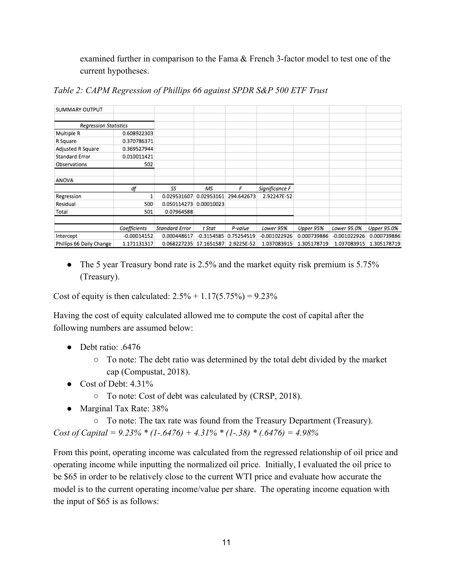examined further in comparison to the Fama & French 3-factor model to test one of the current hypotheses.

| SUMMARY OUTPUT               |               |                |              |            |                |             |              |             |
|------------------------------|---------------|----------------|--------------|------------|----------------|-------------|--------------|-------------|
|                              |               |                |              |            |                |             |              |             |
| <b>Regression Statistics</b> |               |                |              |            |                |             |              |             |
| Multiple R                   | 0.608922303   |                |              |            |                |             |              |             |
| R Square                     | 0.370786371   |                |              |            |                |             |              |             |
| Adjusted R Square            | 0.369527944   |                |              |            |                |             |              |             |
| Standard Error               | 0.010011421   |                |              |            |                |             |              |             |
| Observations                 | 502           |                |              |            |                |             |              |             |
| ANOVA                        |               |                |              |            |                |             |              |             |
|                              | df            | SS             | ΜS           | F          | Significance F |             |              |             |
| Regression                   |               | 0.029531607    | 0.02953161   | 294.642673 | 2.92247E-52    |             |              |             |
| Residual                     | 500           | 0.050114273    | 0.00010023   |            |                |             |              |             |
| Total                        | 501           | 0.07964588     |              |            |                |             |              |             |
|                              |               |                |              |            |                |             |              |             |
|                              | Coefficients  | Standard Error | t Stat       | P-value    | Lower 95%      | Upper 95%   | Lower 95.0%  | Upper 95.0% |
| Intercept                    | $-0.00014152$ | 0.000448617    | $-0.3154585$ | 0.75254519 | -0.001022926   | 0.000739886 | -0.001022926 | 0.000739886 |
| Phillips 66 Daily Change     | 1.171131317   | 0.068227235    | 17.1651587   | 2.9225E-52 | 1.037083915    | 1.305178719 | 1.037083915  | 1.305178719 |

*Table 2: CAPM Regression of Phillips 66 against SPDR S&P 500 ETF Trust*

• The 5 year Treasury bond rate is 2.5% and the market equity risk premium is 5.75% (Treasury).

Cost of equity is then calculated:  $2.5% + 1.17(5.75%) = 9.23%$ 

Having the cost of equity calculated allowed me to compute the cost of capital after the following numbers are assumed below:

- Debt ratio: .6476
	- To note: The debt ratio was determined by the total debt divided by the market cap (Compustat, 2018).
- $\bullet$  Cost of Debt: 4.31%
	- To note: Cost of debt was calculated by (CRSP, 2018).
- Marginal Tax Rate: 38%
- To note: The tax rate was found from the Treasury Department (Treasury). *Cost of Capital = 9.23% \* (1-.6476) + 4.31% \* (1-.38) \* (.6476) = 4.98%*

From this point, operating income was calculated from the regressed relationship of oil price and operating income while inputting the normalized oil price. Initially, I evaluated the oil price to be \$65 in order to be relatively close to the current WTI price and evaluate how accurate the model is to the current operating income/value per share. The operating income equation with the input of \$65 is as follows: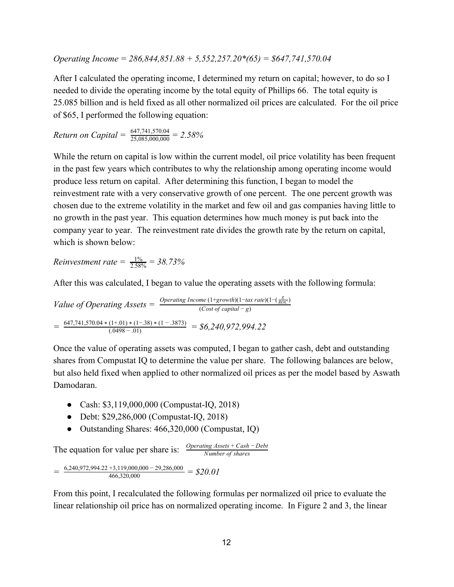*Operating Income = 286,844,851.88 + 5,552,257.20\*(65) = \$647,741,570.04*

After I calculated the operating income, I determined my return on capital; however, to do so I needed to divide the operating income by the total equity of Phillips 66. The total equity is 25.085 billion and is held fixed as all other normalized oil prices are calculated. For the oil price of \$65, I performed the following equation:

*Return on Capital* =  $\frac{647,741,570.04}{25,085,000,000}$  = 2.58%

While the return on capital is low within the current model, oil price volatility has been frequent in the past few years which contributes to why the relationship among operating income would produce less return on capital. After determining this function, I began to model the reinvestment rate with a very conservative growth of one percent. The one percent growth was chosen due to the extreme volatility in the market and few oil and gas companies having little to no growth in the past year. This equation determines how much money is put back into the company year to year. The reinvestment rate divides the growth rate by the return on capital, which is shown below:

*Reinvestment rate* =  $\frac{15}{2.5}$ 5  $\frac{\%}{\% \% \%} = 38.73\%$ 

After this was calculated, I began to value the operating assets with the following formula:

*Value of Operating Assets* =  $\frac{Operator}{(Cost of capital - g)}$  $= \frac{647,741,570.04*(1+.01)*(1-.38)*(1-.3873)}{(.0498-.01)} = $6,240,972,994.22$ 

Once the value of operating assets was computed, I began to gather cash, debt and outstanding shares from Compustat IQ to determine the value per share. The following balances are below, but also held fixed when applied to other normalized oil prices as per the model based by Aswath Damodaran.

- Cash: \$3,119,000,000 (Compustat-IQ, 2018)
- Debt: \$29,286,000 (Compustat-IQ, 2018)
- Outstanding Shares: 466,320,000 (Compustat, IQ)

The equation for value per share is:  $\frac{Operating\ Assets + Cash - Debt}{Number\ of\ shares}$ 

 $= \frac{6,240,972,994.22 + 3,119,000,000 - 29,286,000}{466,320,000} = $20.01$ 

From this point, I recalculated the following formulas per normalized oil price to evaluate the linear relationship oil price has on normalized operating income. In Figure 2 and 3, the linear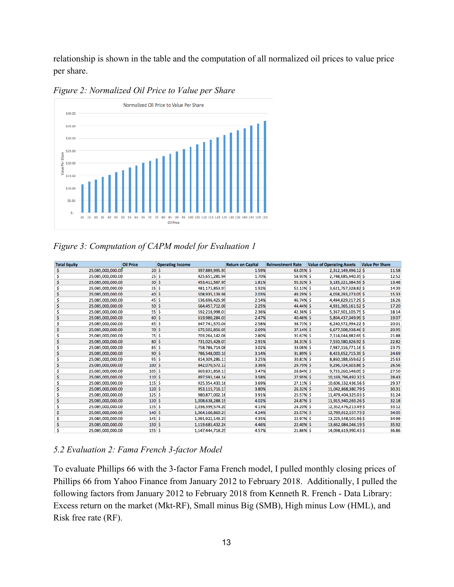relationship is shown in the table and the computation of all normalized oil prices to value price per share.



*Figure 2: Normalized Oil Price to Value per Share*

*Figure 3: Computation of CAPM model for Evaluation 1*

| <b>Total Equity</b> |                   | <b>Oil Price</b> | <b>Operating Income</b> |                  | <b>Return on Capital</b> | <b>Reinvestment Rate</b> | <b>Value of Operating Assets</b> | <b>Value Per Share</b> |
|---------------------|-------------------|------------------|-------------------------|------------------|--------------------------|--------------------------|----------------------------------|------------------------|
| \$                  | 25,085,000,000.00 | 20S              |                         | 397,889,995.93   | 1.59%                    | 63.05% \$                | 2,312,149,496.12 \$              | 11.58                  |
| Ś                   | 25,085,000,000.00 | 25S              |                         | 425,651,281.94   | 1.70%                    | 58.93% \$                | 2,748,685,440.35 \$              | 12.52                  |
| Ś                   | 25,085,000,000.00 | 30S              |                         | 453,412,567.95   | 1.81%                    | 55.32% \$                | 3,185,221,384.59 \$              | 13.46                  |
| Ś                   | 25,085,000,000.00 | 35S              |                         | 481,173,853.97   | 1.92%                    | 52.13% \$                | 3,621,757,328.82 \$              | 14.39                  |
| Ś                   | 25,085,000,000.00 | 40S              |                         | 508,935,139.98   | 2.03%                    | 49.29% \$                | 4,058,293,273.05 \$              | 15.33                  |
| Ś                   | 25,085,000,000.00 | 45S              |                         | 536,696,425.99   | 2.14%                    | 46.74% S                 | 4,494,829,217.29 \$              | 16.26                  |
| Ś                   | 25,085,000,000.00 | 50S              |                         | 564,457,712.00   | 2.25%                    | 44.44% S                 | 4,931,365,161.52 \$              | 17.20                  |
| Ś                   | 25,085,000,000.00 | 55S              |                         | 592,218,998.01   | 2.36%                    | 42.36% \$                | 5,367,901,105.75 \$              | 18.14                  |
|                     | 25,085,000,000.00 | 60S              |                         | 619,980,284.03   | 2.47%                    | 40.46% \$                | 5,804,437,049.99 \$              | 19.07                  |
|                     | 25,085,000,000.00 | 65S              |                         | 647,741,570.04   | 2.58%                    | 38.73% \$                | 6,240,972,994.22 \$              | 20.01                  |
|                     | 25,085,000,000.00 | 70S              |                         | 675,502,856.05   | 2.69%                    | 37.14% \$                | 6,677,508,938.46 \$              | 20.95                  |
|                     | 25,085,000,000.00 | 75S              |                         | 703,264,142.06   | 2.80%                    | 35.67% S                 | 7,114,044,882.69 \$              | 21.88                  |
|                     | 25,085,000,000.00 | 80 \$            |                         | 731,025,428.07   | 2.91%                    | 34.31% \$                | 7,550,580,826.92 \$              | 22.82                  |
| Ś                   | 25,085,000,000.00 | 85S              |                         | 758,786,714.08   | 3.02%                    | 33.06% \$                | 7,987,116,771.16 \$              | 23.75                  |
| Ś                   | 25,085,000,000.00 | 90S              |                         | 786,548,000.10   | 3.14%                    | 31.89% \$                | 8,423,652,715.39 \$              | 24.69                  |
| Ś                   | 25,085,000,000.00 | 95S              |                         | 814,309,286.11   | 3.25%                    | 30.81% \$                | 8,860,188,659.62 \$              | 25.63                  |
|                     | 25,085,000,000.00 | 100S             |                         | 842,070,572.12   | 3.36%                    | 29.79% \$                | 9,296,724,603.86 \$              | 26.56                  |
| Ś                   | 25,085,000,000.00 | 105S             |                         | 869,831,858.13   | 3.47%                    | 28.84% \$                | 9,733,260,548.09 \$              | 27.50                  |
| Ś                   | 25,085,000,000.00 | 110S             |                         | 897,593,144.14   | 3.58%                    | 27.95% \$                | 10,169,796,492.32\$              | 28.43                  |
| Ś                   | 25,085,000,000.00 | 115S             |                         | 925,354,430.16   | 3.69%                    | 27.11% \$                | 10,606,332,436.56 \$             | 29.37                  |
| Ś                   | 25,085,000,000.00 | 120S             |                         | 953,115,716.17   | 3.80%                    | 26.32% \$                | 11,042,868,380.79 \$             | 30.31                  |
| Ś                   | 25,085,000,000.00 | 125S             |                         | 980,877,002.18   | 3.91%                    | 25.57% \$                | 11,479,404,325.03 \$             | 31.24                  |
|                     | 25,085,000,000.00 | 130S             |                         | 1,008,638,288.19 | 4.02%                    | 24.87% \$                | 11,915,940,269.26 \$             | 32.18                  |
|                     | 25,085,000,000.00 | 135S             |                         | 1,036,399,574.20 | 4.13%                    | 24.20% \$                | 12,352,476,213.49 \$             | 33.12                  |
| Ś                   | 25,085,000,000.00 | 140S             |                         | 1,064,160,860.21 | 4.24%                    | 23.57% \$                | 12,789,012,157.73 \$             | 34.05                  |
| Ś                   | 25,085,000,000.00 | $145$ \$         |                         | 1,091,922,146.23 | 4.35%                    | 22.97% \$                | 13,225,548,101.96 \$             | 34.99                  |
| Ś                   | 25,085,000,000.00 | 150S             |                         | 1,119,683,432.24 | 4.46%                    | 22.40% \$                | 13,662,084,046.19 \$             | 35.92                  |
| Ś                   | 25,085,000,000.00 | $155$ \$         |                         | 1,147,444,718.25 | 4.57%                    | 21.86% \$                | 14,098,619,990.43 \$             | 36.86                  |

#### *5.2 Evaluation 2: Fama French 3-factor Model*

To evaluate Phillips 66 with the 3-factor Fama French model, I pulled monthly closing prices of Phillips 66 from Yahoo Finance from January 2012 to February 2018. Additionally, I pulled the following factors from January 2012 to February 2018 from Kenneth R. French - Data Library: Excess return on the market (Mkt-RF), Small minus Big (SMB), High minus Low (HML), and Risk free rate (RF).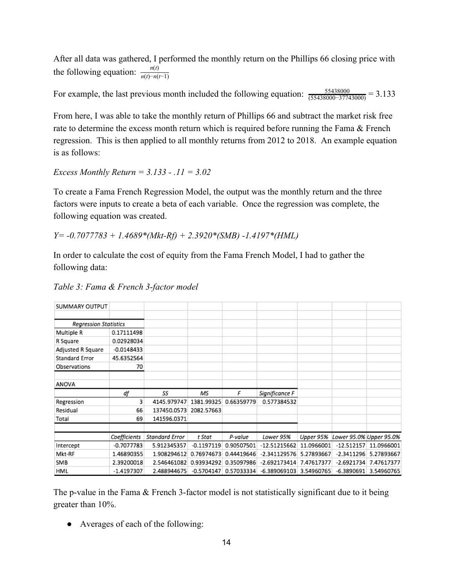After all data was gathered, I performed the monthly return on the Phillips 66 closing price with the following equation:  $\frac{n(t)}{n(t)-n(t-1)}$ 

For example, the last previous month included the following equation:  $\frac{55438000}{(55438000-37743000)}$  = 3.133

From here, I was able to take the monthly return of Phillips 66 and subtract the market risk free rate to determine the excess month return which is required before running the Fama & French regression. This is then applied to all monthly returns from 2012 to 2018. An example equation is as follows:

*Excess Monthly Return = 3.133 - .11 = 3.02*

To create a Fama French Regression Model, the output was the monthly return and the three factors were inputs to create a beta of each variable. Once the regression was complete, the following equation was created.

*Y= -0.7077783 + 1.4689\*(Mkt-Rf) + 2.3920\*(SMB) -1.4197\*(HML)*

In order to calculate the cost of equity from the Fama French Model, I had to gather the following data:

| SUMMARY OUTPUT               |              |                |              |            |                |            |                         |            |
|------------------------------|--------------|----------------|--------------|------------|----------------|------------|-------------------------|------------|
|                              |              |                |              |            |                |            |                         |            |
| <b>Regression Statistics</b> |              |                |              |            |                |            |                         |            |
| Multiple R                   | 0.17111498   |                |              |            |                |            |                         |            |
| R Square                     | 0.02928034   |                |              |            |                |            |                         |            |
| Adjusted R Square            | $-0.0148433$ |                |              |            |                |            |                         |            |
| Standard Error               | 45.6352564   |                |              |            |                |            |                         |            |
| Observations                 | 70           |                |              |            |                |            |                         |            |
|                              |              |                |              |            |                |            |                         |            |
| ANOVA                        |              |                |              |            |                |            |                         |            |
|                              | df           | SS             | ΜS           | F          | Significance F |            |                         |            |
| Regression                   | 3            | 4145.979747    | 1381.99325   | 0.66359779 | 0.577384532    |            |                         |            |
| Residual                     | 66           | 137450.0573    | 2082.57663   |            |                |            |                         |            |
| Total                        | 69           | 141596.0371    |              |            |                |            |                         |            |
|                              |              |                |              |            |                |            |                         |            |
|                              | Coefficients | Standard Error | t Stat       | P-value    | Lower 95%      | Upper 95%  | Lower 95.0% Upper 95.0% |            |
| Intercept                    | -0.7077783   | 5.912345357    | -0.1197119   | 0.90507501 | -12.51215662   | 11.0966001 | $-12.512157$            | 11.0966001 |
| Mkt-RF                       | 1.46890355   | 1.908294612    | 0.76974673   | 0.44419646 | $-2.341129576$ | 5.27893667 | $-2.3411296$            | 5.27893667 |
| SMB                          | 2.39200018   | 2.546461082    | 0.93934292   | 0.35097986 | -2.692173414   | 7.47617377 | $-2.6921734$            | 7.47617377 |
| HML                          | $-1.4197307$ | 2.488944675    | $-0.5704147$ | 0.57033334 | $-6.389069103$ | 3.54960765 | $-6.3890691$            | 3.54960765 |

*Table 3: Fama & French 3-factor model*

The p-value in the Fama & French 3-factor model is not statistically significant due to it being greater than 10%.

● Averages of each of the following: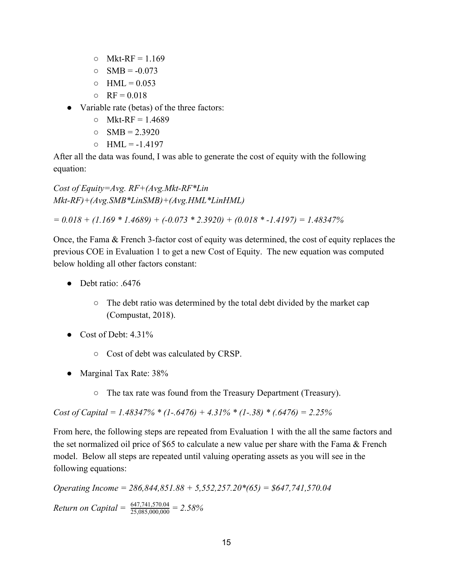- $\circ$  Mkt-RF = 1.169
- $\circ$  SMB = -0.073
- $O$  HML = 0.053
- $Q = RF = 0.018$
- Variable rate (betas) of the three factors:
	- $O$  Mkt-RF = 1.4689
	- $O$  SMB = 2.3920
	- $O$  HML = -1.4197

After all the data was found, I was able to generate the cost of equity with the following equation:

*Cost of Equity=Avg. RF+(Avg.Mkt-RF\*Lin Mkt-RF)+(Avg.SMB\*LinSMB)+(Avg.HML\*LinHML)*

*= 0.018 + (1.169 \* 1.4689) + (-0.073 \* 2.3920) + (0.018 \* -1.4197) = 1.48347%*

Once, the Fama & French 3-factor cost of equity was determined, the cost of equity replaces the previous COE in Evaluation 1 to get a new Cost of Equity. The new equation was computed below holding all other factors constant:

- Debt ratio: .6476
	- The debt ratio was determined by the total debt divided by the market cap (Compustat, 2018).
- Cost of Debt:  $4.31\%$ 
	- Cost of debt was calculated by CRSP.
- Marginal Tax Rate: 38%
	- The tax rate was found from the Treasury Department (Treasury).

*Cost of Capital = 1.48347% \* (1-.6476) + 4.31% \* (1-.38) \* (.6476) = 2.25%*

From here, the following steps are repeated from Evaluation 1 with the all the same factors and the set normalized oil price of \$65 to calculate a new value per share with the Fama & French model. Below all steps are repeated until valuing operating assets as you will see in the following equations:

*Operating Income = 286,844,851.88 + 5,552,257.20\*(65) = \$647,741,570.04*

*Return on Capital* =  $\frac{647,741,570.04}{25,085,000,000}$  = 2.58%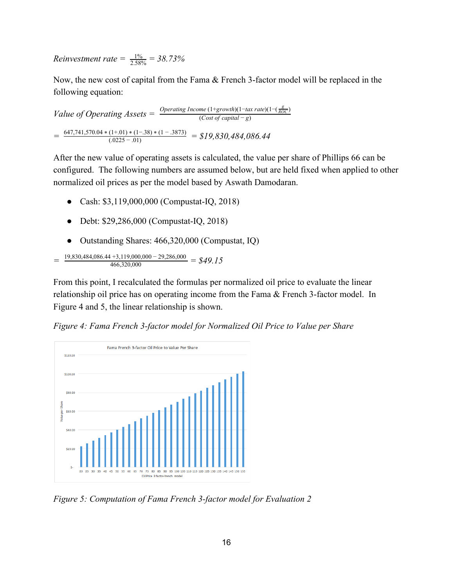*Reinvestment rate* =  $\frac{15}{2.5}$ 5  $\frac{\%}{\% \% \%} = 38.73\%$ 

Now, the new cost of capital from the Fama & French 3-factor model will be replaced in the following equation:

*Value of Operating Assets* =  $\frac{Operator}{(Cost of capital - g)}$  $= \frac{647,741,570.04*(1+01)*(1-.38)*(1-.3873)}{(.0225-.01)} = $19,830,484,086.44$ 

After the new value of operating assets is calculated, the value per share of Phillips 66 can be configured. The following numbers are assumed below, but are held fixed when applied to other normalized oil prices as per the model based by Aswath Damodaran.

- Cash: \$3,119,000,000 (Compustat-IQ, 2018)
- Debt: \$29,286,000 (Compustat-IQ, 2018)
- Outstanding Shares: 466,320,000 (Compustat, IQ)

$$
= \frac{19,830,484,086.44+3,119,000,000-29,286,000}{466,320,000} = $49.15
$$

From this point, I recalculated the formulas per normalized oil price to evaluate the linear relationship oil price has on operating income from the Fama & French 3-factor model. In Figure 4 and 5, the linear relationship is shown.

*Figure 4: Fama French 3-factor model for Normalized Oil Price to Value per Share*



*Figure 5: Computation of Fama French 3-factor model for Evaluation 2*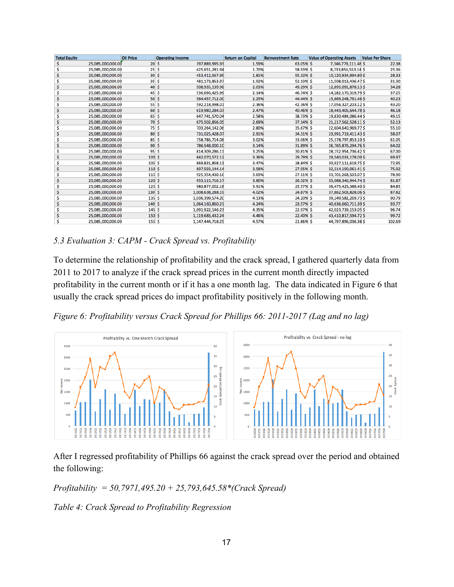| <b>Total Equity</b> |                   | <b>Oil Price</b> | <b>Operating Income</b> |                  | <b>Return on Capital</b> | <b>Reinvestment Rate</b> | <b>Value of Operating Assets</b> | <b>Value Per Share</b> |
|---------------------|-------------------|------------------|-------------------------|------------------|--------------------------|--------------------------|----------------------------------|------------------------|
| Ś                   | 25,085,000,000.00 | 20S              |                         | 397,889,995.93   | 1.59%                    | 63.05% \$                | 7,346,778,111.48 \$              | 22.38                  |
|                     | 25,085,000,000.00 | 25S              |                         | 425,651,281.94   | 1.70%                    | 58.93% \$                | 8,733,856,553.14 \$              | 25.36                  |
|                     | 25,085,000,000.00 | 30S              |                         | 453,412,567.95   | 1.81%                    | 55.32% \$                | 10,120,934,994.80 \$             | 28.33                  |
|                     | 25,085,000,000.00 | 35S              |                         | 481,173,853.97   | 1.92%                    | 52.13% \$                | 11,508,013,436.47 \$             | 31.30                  |
|                     | 25,085,000,000.00 | 40S              |                         | 508,935,139.98   | 2.03%                    | 49.29% \$                | 12,895,091,878.13 \$             | 34.28                  |
|                     | 25,085,000,000.00 | 45S              |                         | 536,696,425.99   | 2.14%                    | 46.74% \$                | 14,282,170,319.79 \$             | 37.25                  |
|                     | 25,085,000,000.00 | 50S              |                         | 564,457,712.00   | 2.25%                    | 44.44% \$                | 15,669,248,761.46 \$             | 40.23                  |
| Ś                   | 25,085,000,000.00 | 55S              |                         | 592,218,998.01   | 2.36%                    | 42.36% \$                | 17,056,327,203.12 \$             | 43.20                  |
|                     | 25,085,000,000.00 | 60S              |                         | 619,980,284.03   | 2.47%                    | 40.46% \$                | 18,443,405,644.78 \$             | 46.18                  |
| Ś                   | 25,085,000,000.00 | 65S              |                         | 647,741,570.04   | 2.58%                    | 38.73% \$                | 19,830,484,086.44 \$             | 49.15                  |
|                     | 25,085,000,000.00 | 70S              |                         | 675,502,856.05   | 2.69%                    | 37.14% \$                | 21,217,562,528.11. \$            | 52.13                  |
|                     | 25,085,000,000.00 | 75S              |                         | 703,264,142.06   | 2.80%                    | 35.67% \$                | 22,604,640,969.77 \$             | 55.10                  |
|                     | 25,085,000,000.00 | $80\frac{2}{3}$  |                         | 731,025,428.07   | 2.91%                    | 34.31% \$                | 23,991,719,411.43 \$             | 58.07                  |
| Ś                   | 25,085,000,000.00 | 85S              |                         | 758,786,714.08   | 3.02%                    | 33.06% \$                | 25,378,797,853.10 \$             | 61.05                  |
|                     | 25,085,000,000.00 | 90S              |                         | 786,548,000.10   | 3.14%                    | 31.89% \$                | 26,765,876,294.76 \$             | 64.02                  |
| Ś                   | 25,085,000,000.00 | 95S              |                         | 814,309,286.11   | 3.25%                    | 30.81% \$                | 28,152,954,736.42 \$             | 67.00                  |
| Ś                   | 25,085,000,000.00 | 100S             |                         | 842,070,572.12   | 3.36%                    | 29.79% \$                | 29,540,033,178.09 \$             | 69.97                  |
|                     | 25,085,000,000.00 | 105S             |                         | 869,831,858.13   | 3.47%                    | 28.84% \$                | 30,927,111,619.75 \$             | 72.95                  |
|                     | 25,085,000,000.00 | 110S             |                         | 897,593,144.14   | 3.58%                    | 27.95% \$                | 32,314,190,061.41 \$             | 75.92                  |
|                     | 25,085,000,000.00 | 115S             |                         | 925,354,430.16   | 3.69%                    | 27.11% \$                | 33,701,268,503.07 \$             | 78.90                  |
|                     | 25,085,000,000.00 | 120S             |                         | 953,115,716.17   | 3.80%                    | 26.32% \$                | 35,088,346,944.74 \$             | 81.87                  |
| Ś                   | 25,085,000,000.00 | 125S             |                         | 980,877,002.18   | 3.91%                    | 25.57% \$                | 36,475,425,386.40 \$             | 84.85                  |
|                     | 25,085,000,000.00 | 130S             |                         | 1,008,638,288.19 | 4.02%                    | 24.87% \$                | 37,862,503,828.06 \$             | 87.82                  |
| Ś                   | 25,085,000,000.00 | 135S             |                         | 1,036,399,574.20 | 4.13%                    | 24.20% \$                | 39,249,582,269.73 \$             | 90.79                  |
| Ś                   | 25,085,000,000.00 | 140S             |                         | 1,064,160,860.21 | 4.24%                    | 23.57% \$                | 40,636,660,711.39 \$             | 93.77                  |
| Ś                   | 25,085,000,000.00 | 145S             |                         | 1,091,922,146.23 | 4.35%                    | 22.97% \$                | 42,023,739,153.05 \$             | 96.74                  |
|                     | 25,085,000,000.00 | 150S             |                         | 1,119,683,432.24 | 4.46%                    | 22.40% \$                | 43,410,817,594.72 \$             | 99.72                  |
|                     | 25,085,000,000,00 | 155S             |                         | 1,147,444,718.25 | 4.57%                    | 21.86% \$                | 44,797,896,036.38 \$             | 102.69                 |

#### *5.3 Evaluation 3: CAPM - Crack Spread vs. Profitability*

To determine the relationship of profitability and the crack spread, I gathered quarterly data from 2011 to 2017 to analyze if the crack spread prices in the current month directly impacted profitability in the current month or if it has a one month lag. The data indicated in Figure 6 that usually the crack spread prices do impact profitability positively in the following month.

*Figure 6: Profitability versus Crack Spread for Phillips 66: 2011-2017 (Lag and no lag)*



After I regressed profitability of Phillips 66 against the crack spread over the period and obtained the following:

*Profitability = 50,7971,495.20 + 25,793,645.58\*(Crack Spread)*

*Table 4: Crack Spread to Profitability Regression*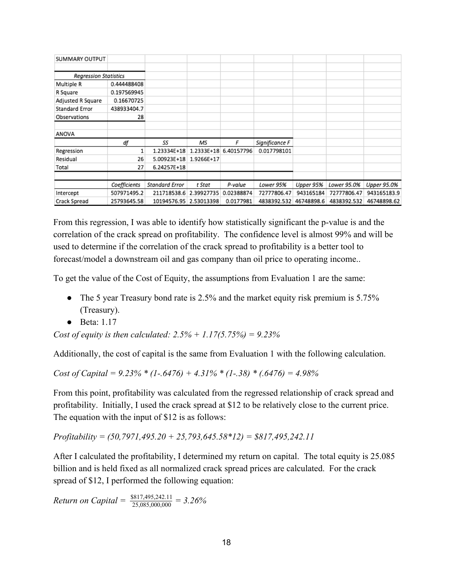| SUMMARY OUTPUT               |              |                        |            |            |                        |           |             |             |
|------------------------------|--------------|------------------------|------------|------------|------------------------|-----------|-------------|-------------|
|                              |              |                        |            |            |                        |           |             |             |
| <b>Regression Statistics</b> |              |                        |            |            |                        |           |             |             |
| Multiple R                   | 0.444488408  |                        |            |            |                        |           |             |             |
| R Square                     | 0.197569945  |                        |            |            |                        |           |             |             |
| Adjusted R Square            | 0.16670725   |                        |            |            |                        |           |             |             |
| Standard Error               | 438933404.7  |                        |            |            |                        |           |             |             |
| Observations                 | 28           |                        |            |            |                        |           |             |             |
| ANOVA                        |              |                        |            |            |                        |           |             |             |
|                              | df           | SS                     | ΜS         | F          | Significance F         |           |             |             |
| Regression                   |              | 1.23334E+18            | 1.2333E+18 | 6.40157796 | 0.017798101            |           |             |             |
| Residual                     | 26           | 5.00923E+18            | 1.9266E+17 |            |                        |           |             |             |
| Total                        | 27           | 6.24257E+18            |            |            |                        |           |             |             |
|                              |              |                        |            |            |                        |           |             |             |
|                              | Coefficients | Standard Error         | t Stat     | P-value    | Lower 95%              | Upper 95% | Lower 95.0% | Upper 95.0% |
| Intercept                    | 507971495.2  | 211718538.6            | 2.39927735 | 0.02388874 | 72777806.47            | 943165184 | 72777806.47 | 943165183.9 |
| Crack Spread                 | 25793645.58  | 10194576.95 2.53013398 |            | 0.0177981  | 4838392.532 46748898.6 |           | 4838392.532 | 46748898.62 |

From this regression, I was able to identify how statistically significant the p-value is and the correlation of the crack spread on profitability. The confidence level is almost 99% and will be used to determine if the correlation of the crack spread to profitability is a better tool to forecast/model a downstream oil and gas company than oil price to operating income..

To get the value of the Cost of Equity, the assumptions from Evaluation 1 are the same:

- The 5 year Treasury bond rate is 2.5% and the market equity risk premium is 5.75% (Treasury).
- Beta: 1.17

*Cost of equity is then calculated: 2.5% + 1.17(5.75%) = 9.23%*

Additionally, the cost of capital is the same from Evaluation 1 with the following calculation.

*Cost of Capital = 9.23% \* (1-.6476) + 4.31% \* (1-.38) \* (.6476) = 4.98%*

From this point, profitability was calculated from the regressed relationship of crack spread and profitability. Initially, I used the crack spread at \$12 to be relatively close to the current price. The equation with the input of \$12 is as follows:

*Profitability = (50,7971,495.20 + 25,793,645.58\*12) = \$817,495,242.11*

After I calculated the profitability, I determined my return on capital. The total equity is 25.085 billion and is held fixed as all normalized crack spread prices are calculated. For the crack spread of \$12, I performed the following equation:

*Return on Capital* =  $\frac{$817,495,242.11}{25,085,000,000}$  = 3.26%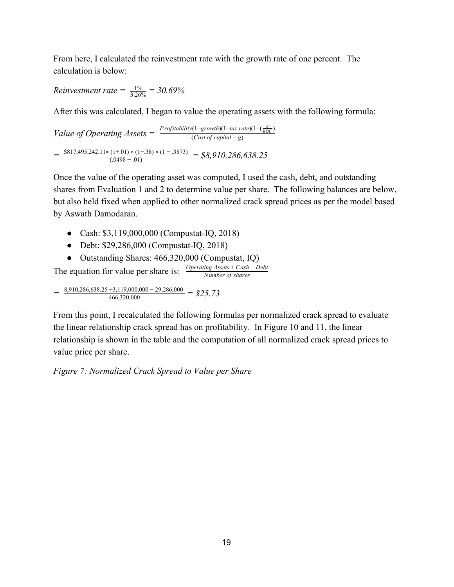From here, I calculated the reinvestment rate with the growth rate of one percent. The calculation is below:

*Reinvestment rate*  $=$   $\frac{1}{3.2}$  $\overline{2}$  $\frac{\%}{\%{6\%}}$  = 30.69%

After this was calculated, I began to value the operating assets with the following formula:

*Value of Operating Assets* =  $\frac{Profitability(1+growth)(1-tax rate)(1-(\frac{g}{ROC})}{(Cost of capital - g)}$  $=$   $\frac{$817,495,242.11*(1+0.01)*(1-0.38)*(1-.3873)}{(.0498-.01)}$  =  $$8,910,286,638.25$ 

Once the value of the operating asset was computed, I used the cash, debt, and outstanding shares from Evaluation 1 and 2 to determine value per share. The following balances are below, but also held fixed when applied to other normalized crack spread prices as per the model based by Aswath Damodaran.

- Cash: \$3,119,000,000 (Compustat-IQ, 2018)
- Debt: \$29,286,000 (Compustat-IQ, 2018)
- Outstanding Shares: 466,320,000 (Compustat, IQ)

The equation for value per share is:  $\frac{Operating\ Assets + Cash - Debt}{Number\ of\ shares}$ 

 $=$   $\frac{8,910,286,638.25 +3,119,000,000 - 29,286,000}{466,320,000}$  = \$25.73

From this point, I recalculated the following formulas per normalized crack spread to evaluate the linear relationship crack spread has on profitability. In Figure 10 and 11, the linear relationship is shown in the table and the computation of all normalized crack spread prices to value price per share.

*Figure 7: Normalized Crack Spread to Value per Share*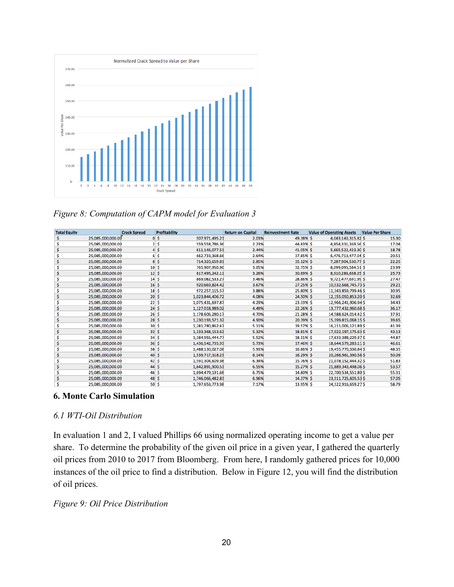

*Figure 8: Computation of CAPM model for Evaluation 3*

| <b>Total Equity</b> |                   | <b>Crack Spread</b>       | <b>Profitability</b> |                  | <b>Return on Capital</b> | <b>Reinvestment Rate</b> | <b>Value of Operating Assets</b> | <b>Value Per Share</b> |
|---------------------|-------------------|---------------------------|----------------------|------------------|--------------------------|--------------------------|----------------------------------|------------------------|
| s                   | 25,085,000,000.00 | $\mathbf{0}$              | \$                   | 507,971,495.21   | 2.03%                    | 49.38% \$                | 4,043,140,315.82 \$              | 15.30                  |
|                     | 25,085,000,000.00 | $\overline{2}$            | Ŝ                    | 559,558,786.36   | 2.23%                    | 44.83% S                 | 4,854,331,369.56 \$              | 17.04                  |
|                     | 25,085,000,000.00 | $\overline{4}$            | -S                   | 611,146,077.51   | 2.44%                    | 41.05% \$                | 5,665,522,423.30 \$              | 18.78                  |
|                     | 25,085,000,000.00 | 6 <sup>1</sup>            | ŝ.                   | 662,733,368.66   | 2.64%                    | 37.85% S                 | 6,476,713,477.04 \$              | 20.51                  |
|                     | 25,085,000,000.00 |                           | 8S                   | 714,320,659.81   | 2.85%                    | 35.12% \$                | 7,287,904,530.77 \$              | 22.25                  |
|                     | 25,085,000,000.00 | 10S                       |                      | 765,907,950.96   | 3.05%                    | 32.75% \$                | 8,099,095,584.51 \$              | 23.99                  |
|                     | 25,085,000,000.00 | 12S                       |                      | 817,495,242.11   | 3.26%                    | 30.69% \$                | 8,910,286,638.25 \$              | 25.73                  |
|                     | 25,085,000,000.00 | 14S                       |                      | 869,082,533.27   | 3.46%                    | 28.86% \$                | 9,721,477,691.99 \$              | 27.47                  |
|                     | 25,085,000,000.00 | 16S                       |                      | 920,669,824.42   | 3.67%                    | 27.25% \$                | 10,532,668,745.73 \$             | 29.21                  |
|                     | 25,085,000,000.00 | 18S                       |                      | 972,257,115.57   | 3.88%                    | 25.80% S                 | 11,343,859,799.46 \$             | 30.95                  |
|                     | 25,085,000,000.00 | 20S                       |                      | 1,023,844,406.72 | 4.08%                    | 24.50% \$                | 12,155,050,853.20 \$             | 32.69                  |
|                     | 25.085.000.000.00 | 22S                       |                      | 1.075.431.697.87 | 4.29%                    | 23.33% S                 | 12.966.241.906.94 \$             | 34.43                  |
|                     | 25,085,000,000.00 | 24S                       |                      | 1,127,018,989.02 | 4.49%                    | 22.26% \$                | 13,777,432,960.68 \$             | 36.17                  |
|                     | 25,085,000,000.00 | 26S                       |                      | 1,178,606,280.17 | 4.70%                    | 21.28% \$                | 14,588,624,014.42\$              | 37.91                  |
|                     | 25,085,000,000.00 | 28S                       |                      | 1,230,193,571.32 | 4.90%                    | 20.39% \$                | 15,399,815,068.15 \$             | 39.65                  |
|                     | 25,085,000,000.00 | 30S                       |                      | 1,281,780,862.47 | 5.11%                    | 19.57% S                 | 16,211,006,121.89 \$             | 41.39                  |
|                     | 25,085,000,000.00 | $32 \overline{\smash{5}}$ |                      | 1,333,368,153.62 | 5.32%                    | 18.81% \$                | 17,022,197,175.63 \$             | 43.13                  |
|                     | 25,085,000,000.00 | 34S                       |                      | 1,384,955,444.77 | 5.52%                    | 18.11% S                 | 17,833,388,229.37 \$             | 44.87                  |
|                     | 25,085,000,000.00 | 36S                       |                      | 1,436,542,735.93 | 5.73%                    | 17.46% \$                | 18,644,579,283.11 \$             | 46.61                  |
|                     | 25,085,000,000.00 | 38S                       |                      | 1,488,130,027.08 | 5.93%                    | 16.86% S                 | 19,455,770,336.84 \$             | 48.35                  |
|                     | 25,085,000,000.00 | 40S                       |                      | 1,539,717,318.23 | 6.14%                    | 16.29% \$                | 20,266,961,390.58 \$             | 50.09                  |
|                     | 25,085,000,000.00 | $42 \mid S$               |                      | 1,591,304,609.38 | 6.34%                    | 15.76% S                 | 21,078,152,444.32\$              | 51.83                  |
|                     | 25,085,000,000.00 | 44S                       |                      | 1,642,891,900.53 | 6.55%                    | 15.27% \$                | 21,889,343,498.06 \$             | 53.57                  |
|                     | 25,085,000,000.00 | 46S                       |                      | 1,694,479,191.68 | 6.75%                    | 14.80% \$                | 22,700,534,551.80 \$             | 55.31                  |
|                     | 25,085,000,000.00 | 48S                       |                      | 1,746,066,482.83 | 6.96%                    | 14.37% \$                | 23,511,725,605.53 \$             | 57.05                  |
|                     | 25.085.000.000.00 | 50S                       |                      | 1,797,653,773.98 | 7.17%                    | 13.95% \$                | 24.322.916.659.27 \$             | 58.79                  |

#### **6. Monte Carlo Simulation**

#### *6.1 WTI-Oil Distribution*

In evaluation 1 and 2, I valued Phillips 66 using normalized operating income to get a value per share. To determine the probability of the given oil price in a given year, I gathered the quarterly oil prices from 2010 to 2017 from Bloomberg. From here, I randomly gathered prices for 10,000 instances of the oil price to find a distribution. Below in Figure 12, you will find the distribution of oil prices.

#### *Figure 9: Oil Price Distribution*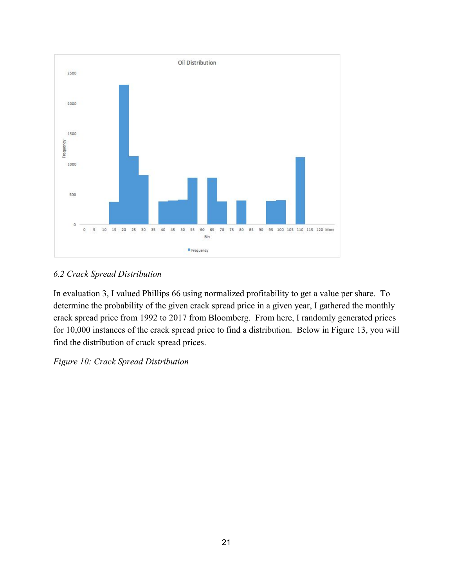

### *6.2 Crack Spread Distribution*

In evaluation 3, I valued Phillips 66 using normalized profitability to get a value per share. To determine the probability of the given crack spread price in a given year, I gathered the monthly crack spread price from 1992 to 2017 from Bloomberg. From here, I randomly generated prices for 10,000 instances of the crack spread price to find a distribution. Below in Figure 13, you will find the distribution of crack spread prices.

### *Figure 10: Crack Spread Distribution*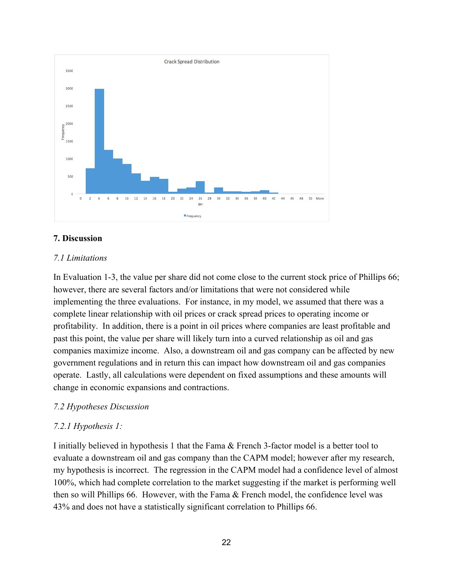

#### **7. Discussion**

#### *7.1 Limitations*

In Evaluation 1-3, the value per share did not come close to the current stock price of Phillips 66; however, there are several factors and/or limitations that were not considered while implementing the three evaluations. For instance, in my model, we assumed that there was a complete linear relationship with oil prices or crack spread prices to operating income or profitability. In addition, there is a point in oil prices where companies are least profitable and past this point, the value per share will likely turn into a curved relationship as oil and gas companies maximize income. Also, a downstream oil and gas company can be affected by new government regulations and in return this can impact how downstream oil and gas companies operate. Lastly, all calculations were dependent on fixed assumptions and these amounts will change in economic expansions and contractions.

#### *7.2 Hypotheses Discussion*

#### *7.2.1 Hypothesis 1:*

I initially believed in hypothesis 1 that the Fama & French 3-factor model is a better tool to evaluate a downstream oil and gas company than the CAPM model; however after my research, my hypothesis is incorrect. The regression in the CAPM model had a confidence level of almost 100%, which had complete correlation to the market suggesting if the market is performing well then so will Phillips 66. However, with the Fama  $\&$  French model, the confidence level was 43% and does not have a statistically significant correlation to Phillips 66.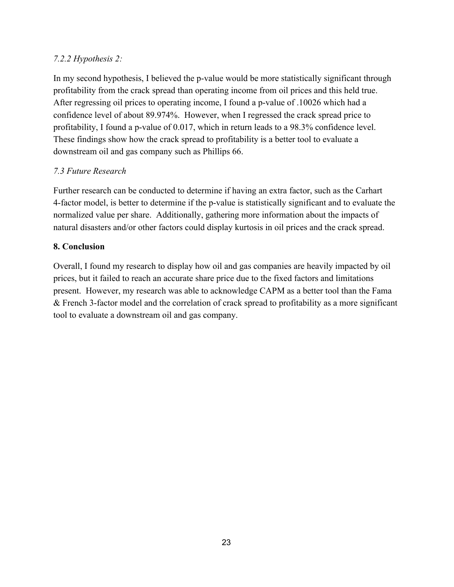#### *7.2.2 Hypothesis 2:*

In my second hypothesis, I believed the p-value would be more statistically significant through profitability from the crack spread than operating income from oil prices and this held true. After regressing oil prices to operating income, I found a p-value of .10026 which had a confidence level of about 89.974%. However, when I regressed the crack spread price to profitability, I found a p-value of 0.017, which in return leads to a 98.3% confidence level. These findings show how the crack spread to profitability is a better tool to evaluate a downstream oil and gas company such as Phillips 66.

### *7.3 Future Research*

Further research can be conducted to determine if having an extra factor, such as the Carhart 4-factor model, is better to determine if the p-value is statistically significant and to evaluate the normalized value per share. Additionally, gathering more information about the impacts of natural disasters and/or other factors could display kurtosis in oil prices and the crack spread.

#### **8. Conclusion**

Overall, I found my research to display how oil and gas companies are heavily impacted by oil prices, but it failed to reach an accurate share price due to the fixed factors and limitations present. However, my research was able to acknowledge CAPM as a better tool than the Fama & French 3-factor model and the correlation of crack spread to profitability as a more significant tool to evaluate a downstream oil and gas company.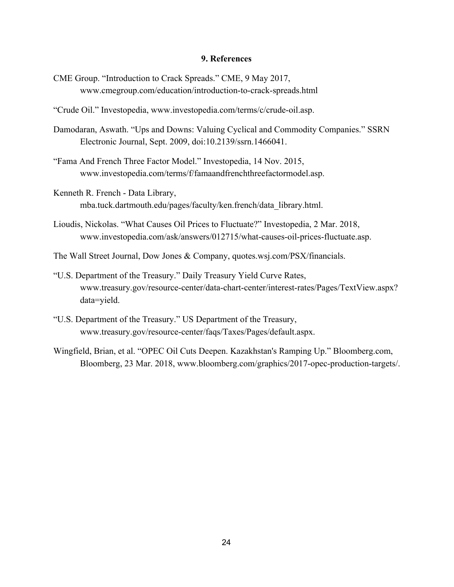#### **9. References**

- CME Group. "Introduction to Crack Spreads." CME, 9 May 2017, www.cmegroup.com/education/introduction-to-crack-spreads.html
- "Crude Oil." Investopedia, www.investopedia.com/terms/c/crude-oil.asp.
- Damodaran, Aswath. "Ups and Downs: Valuing Cyclical and Commodity Companies." SSRN Electronic Journal, Sept. 2009, doi:10.2139/ssrn.1466041.
- "Fama And French Three Factor Model." Investopedia, 14 Nov. 2015, www.investopedia.com/terms/f/famaandfrenchthreefactormodel.asp.
- Kenneth R. French Data Library, mba.tuck.dartmouth.edu/pages/faculty/ken.french/data\_library.html.
- Lioudis, Nickolas. "What Causes Oil Prices to Fluctuate?" Investopedia, 2 Mar. 2018, www.investopedia.com/ask/answers/012715/what-causes-oil-prices-fluctuate.asp.
- The Wall Street Journal, Dow Jones & Company, quotes.wsj.com/PSX/financials.
- "U.S. Department of the Treasury." Daily Treasury Yield Curve Rates, www.treasury.gov/resource-center/data-chart-center/interest-rates/Pages/TextView.aspx? data=yield.
- "U.S. Department of the Treasury." US Department of the Treasury, www.treasury.gov/resource-center/faqs/Taxes/Pages/default.aspx.
- Wingfield, Brian, et al. "OPEC Oil Cuts Deepen. Kazakhstan's Ramping Up." Bloomberg.com, Bloomberg, 23 Mar. 2018, www.bloomberg.com/graphics/2017-opec-production-targets/.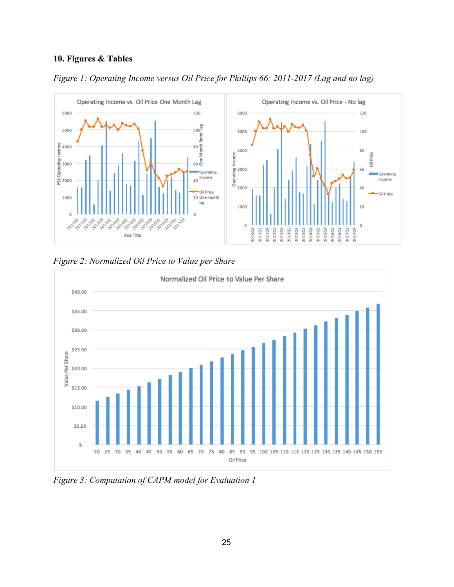### **10. Figures & Tables**









*Figure 3: Computation of CAPM model for Evaluation 1*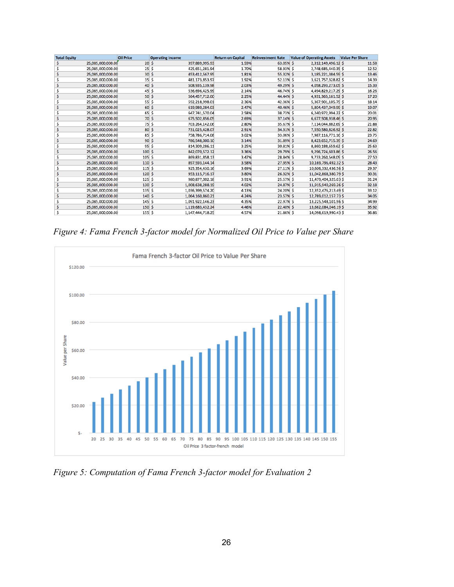| <b>Total Equity</b> |                   | <b>Oil Price</b> | <b>Operating Income</b> |                  | <b>Return on Capital</b> | <b>Reinvestment Rate</b> | <b>Value of Operating Assets</b> | <b>Value Per Share</b> |
|---------------------|-------------------|------------------|-------------------------|------------------|--------------------------|--------------------------|----------------------------------|------------------------|
| \$                  | 25,085,000,000.00 |                  | 20S                     | 397,889,995.93   | 1.59%                    | 63.05% \$                | 2,312,149,496.12 \$              | 11.58                  |
| Ś                   | 25,085,000,000.00 |                  | 25S                     | 425,651,281.94   | 1.70%                    | 58.93% \$                | 2,748,685,440.35 \$              | 12.52                  |
|                     | 25,085,000,000.00 | 30S              |                         | 453,412,567.95   | 1.81%                    | 55.32% S                 | 3,185,221,384.59 \$              | 13.46                  |
| Ś                   | 25,085,000,000.00 | 35S              |                         | 481,173,853.97   | 1.92%                    | 52.13% S                 | 3,621,757,328.82 \$              | 14.39                  |
| Ś                   | 25,085,000,000.00 |                  | 40S                     | 508,935,139.98   | 2.03%                    | 49.29% \$                | 4,058,293,273.05 \$              | 15.33                  |
| s                   | 25,085,000,000.00 | 45S              |                         | 536,696,425.99   | 2.14%                    | 46.74% S                 | 4,494,829,217.29 \$              | 16.26                  |
| Ś                   | 25,085,000,000.00 |                  | 50S                     | 564,457,712.00   | 2.25%                    | 44.44% \$                | 4,931,365,161.52 \$              | 17.20                  |
| Ś                   | 25,085,000,000.00 |                  | 55S                     | 592,218,998.01   | 2.36%                    | 42.36% S                 | 5,367,901,105.75 \$              | 18.14                  |
| Ś                   | 25,085,000,000.00 | 60S              |                         | 619,980,284.03   | 2.47%                    | 40.46% \$                | 5,804,437,049.99 \$              | 19.07                  |
|                     | 25,085,000,000.00 | 65S              |                         | 647,741,570.04   | 2.58%                    | 38.73% S                 | 6,240,972,994.22 \$              | 20.01                  |
| Ś                   | 25,085,000,000.00 |                  | 70S                     | 675,502,856.05   | 2.69%                    | 37.14% \$                | 6,677,508,938.46 \$              | 20.95                  |
| Ś                   | 25,085,000,000.00 |                  | 75S                     | 703,264,142.06   | 2.80%                    | 35.67% \$                | 7,114,044,882.69 \$              | 21.88                  |
|                     | 25,085,000,000.00 | 80S              |                         | 731,025,428.07   | 2.91%                    | 34.31% \$                | 7,550,580,826.92 \$              | 22.82                  |
| Ś                   | 25,085,000,000.00 | 85S              |                         | 758,786,714.08   | 3.02%                    | 33.06% \$                | 7,987,116,771.16 \$              | 23.75                  |
|                     | 25,085,000,000.00 | 90S              |                         | 786,548,000.10   | 3.14%                    | 31.89% \$                | 8,423,652,715.39 \$              | 24.69                  |
| Ś                   | 25,085,000,000.00 | 95S              |                         | 814,309,286.11   | 3.25%                    | 30.81% \$                | 8,860,188,659.62 \$              | 25.63                  |
| Ś                   | 25,085,000,000.00 | 100S             |                         | 842,070,572.12   | 3.36%                    | 29.79% \$                | 9,296,724,603.86 \$              | 26.56                  |
| Ś                   | 25,085,000,000.00 | 105S             |                         | 869,831,858.13   | 3.47%                    | 28.84% S                 | 9,733,260,548.09 \$              | 27.50                  |
| Ś                   | 25,085,000,000.00 | 110S             |                         | 897,593,144.14   | 3.58%                    | 27.95% \$                | 10,169,796,492.32\$              | 28.43                  |
| Ś                   | 25,085,000,000.00 | 115S             |                         | 925,354,430.16   | 3.69%                    | 27.11% S                 | 10,606,332,436.56 \$             | 29.37                  |
| S                   | 25,085,000,000.00 | 120S             |                         | 953,115,716.17   | 3.80%                    | 26.32% \$                | 11,042,868,380.79 \$             | 30.31                  |
| Ś                   | 25,085,000,000.00 | 125S             |                         | 980,877,002.18   | 3.91%                    | 25.57% \$                | 11,479,404,325.03 \$             | 31.24                  |
| Ś                   | 25,085,000,000.00 | 130S             |                         | 1,008,638,288.19 | 4.02%                    | 24.87% \$                | 11,915,940,269.26 \$             | 32.18                  |
| Ś                   | 25,085,000,000.00 | 135S             |                         | 1,036,399,574.20 | 4.13%                    | 24.20% S                 | 12,352,476,213.49 \$             | 33.12                  |
| Ś                   | 25,085,000,000.00 | 140S             |                         | 1,064,160,860.21 | 4.24%                    | 23.57% \$                | 12,789,012,157.73 \$             | 34.05                  |
| Ś                   | 25,085,000,000.00 | 145S             |                         | 1,091,922,146.23 | 4.35%                    | 22.97% \$                | 13,225,548,101.96 \$             | 34.99                  |
|                     | 25,085,000,000.00 | 150S             |                         | 1,119,683,432.24 | 4.46%                    | 22.40% \$                | 13,662,084,046.19 \$             | 35.92                  |
|                     | 25.085.000.000.00 | 155S             |                         | 1.147.444.718.25 | 4.57%                    | 21.86% S                 | 14.098.619.990.43 \$             | 36.86                  |

*Figure 4: Fama French 3-factor model for Normalized Oil Price to Value per Share*



*Figure 5: Computation of Fama French 3-factor model for Evaluation 2*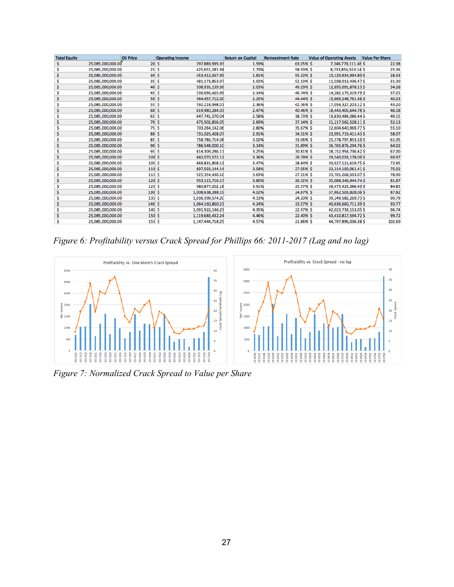| <b>Total Equity</b> |                   | <b>Oil Price</b> | <b>Operating Income</b> |                  | <b>Return on Capital</b> | <b>Reinvestment Rate</b> | <b>Value of Operating Assets</b> | <b>Value Per Share</b> |
|---------------------|-------------------|------------------|-------------------------|------------------|--------------------------|--------------------------|----------------------------------|------------------------|
| Ś.                  | 25,085,000,000.00 | 20S              |                         | 397,889,995.93   | 1.59%                    | 63.05% \$                | 7,346,778,111.48 \$              | 22.38                  |
|                     | 25,085,000,000.00 | 25S              |                         | 425,651,281.94   | 1.70%                    | 58.93% S                 | 8,733,856,553.14 \$              | 25.36                  |
|                     | 25,085,000,000.00 | 30S              |                         | 453,412,567.95   | 1.81%                    | 55.32% \$                | 10,120,934,994.80 \$             | 28.33                  |
|                     | 25,085,000,000.00 | 35S              |                         | 481,173,853.97   | 1.92%                    | 52.13% \$                | 11,508,013,436.47 \$             | 31.30                  |
| Ś                   | 25,085,000,000.00 | 40S              |                         | 508,935,139.98   | 2.03%                    | 49.29% \$                | 12,895,091,878.13 \$             | 34.28                  |
|                     | 25,085,000,000.00 | 45S              |                         | 536,696,425.99   | 2.14%                    | 46.74% \$                | 14,282,170,319.79 \$             | 37.25                  |
|                     | 25,085,000,000.00 | 50S              |                         | 564,457,712.00   | 2.25%                    | 44.44% \$                | 15,669,248,761.46 \$             | 40.23                  |
| Ś                   | 25,085,000,000.00 | 55S              |                         | 592,218,998.01   | 2.36%                    | 42.36% \$                | 17,056,327,203.12 \$             | 43.20                  |
|                     | 25,085,000,000.00 | 60S              |                         | 619,980,284.03   | 2.47%                    | 40.46% \$                | 18,443,405,644.78 \$             | 46.18                  |
|                     | 25,085,000,000.00 | 65S              |                         | 647,741,570.04   | 2.58%                    | 38.73% \$                | 19,830,484,086.44 \$             | 49.15                  |
|                     | 25,085,000,000.00 | 70S              |                         | 675,502,856.05   | 2.69%                    | 37.14% \$                | 21,217,562,528.11.\$             | 52.13                  |
|                     | 25,085,000,000.00 | 75S              |                         | 703,264,142.06   | 2.80%                    | 35.67% \$                | 22,604,640,969.77 \$             | 55.10                  |
|                     | 25,085,000,000.00 | 80 \$            |                         | 731,025,428.07   | 2.91%                    | 34.31% \$                | 23,991,719,411.43 \$             | 58.07                  |
|                     | 25,085,000,000.00 | 85S              |                         | 758,786,714.08   | 3.02%                    | 33.06% \$                | 25,378,797,853.10 \$             | 61.05                  |
|                     | 25,085,000,000.00 | 90S              |                         | 786,548,000.10   | 3.14%                    | 31.89% \$                | 26,765,876,294.76 \$             | 64.02                  |
|                     | 25,085,000,000.00 | 95S              |                         | 814,309,286.11   | 3.25%                    | 30.81% \$                | 28,152,954,736.42 \$             | 67.00                  |
|                     | 25,085,000,000.00 | 100S             |                         | 842,070,572.12   | 3.36%                    | 29.79% \$                | 29,540,033,178.09 \$             | 69.97                  |
| S                   | 25,085,000,000.00 | 105S             |                         | 869,831,858.13   | 3.47%                    | 28.84% \$                | 30,927,111,619.75 \$             | 72.95                  |
|                     | 25,085,000,000.00 | 110S             |                         | 897,593,144.14   | 3.58%                    | 27.95% \$                | 32,314,190,061.41 \$             | 75.92                  |
|                     | 25,085,000,000.00 | 115S             |                         | 925,354,430.16   | 3.69%                    | 27.11% S                 | 33,701,268,503.07 \$             | 78.90                  |
|                     | 25,085,000,000.00 | 120S             |                         | 953,115,716.17   | 3.80%                    | 26.32% \$                | 35,088,346,944.74 \$             | 81.87                  |
| Ś                   | 25,085,000,000.00 | 125S             |                         | 980,877,002.18   | 3.91%                    | 25.57% \$                | 36,475,425,386.40 \$             | 84.85                  |
|                     | 25,085,000,000.00 | 130S             |                         | 1,008,638,288.19 | 4.02%                    | 24.87% \$                | 37,862,503,828.06 \$             | 87.82                  |
|                     | 25,085,000,000.00 | 135S             |                         | 1,036,399,574.20 | 4.13%                    | 24.20% S                 | 39,249,582,269.73 \$             | 90.79                  |
|                     | 25,085,000,000.00 | 140S             |                         | 1,064,160,860.21 | 4.24%                    | 23.57% \$                | 40,636,660,711.39 \$             | 93.77                  |
|                     | 25,085,000,000.00 | 145S             |                         | 1,091,922,146.23 | 4.35%                    | 22.97% \$                | 42,023,739,153.05 \$             | 96.74                  |
|                     | 25,085,000,000.00 | 150S             |                         | 1.119.683.432.24 | 4.46%                    | 22.40% \$                | 43,410,817,594,72 \$             | 99.72                  |
|                     | 25,085,000,000,00 | 155S             |                         | 1,147,444,718.25 | 4.57%                    | 21.86% S                 | 44,797,896,036.38 \$             | 102.69                 |

*Figure 6: Profitability versus Crack Spread for Phillips 66: 2011-2017 (Lag and no lag)*



*Figure 7: Normalized Crack Spread to Value per Share*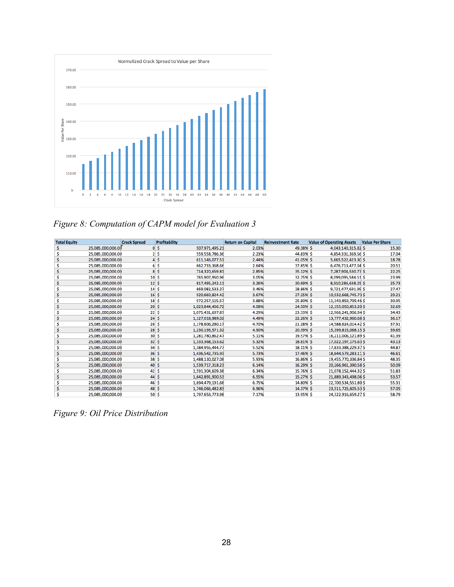

*Figure 8: Computation of CAPM model for Evaluation 3*

| <b>Total Equity</b> |                   | <b>Crack Spread</b>      | <b>Profitability</b> |                  | <b>Return on Capital</b> | <b>Reinvestment Rate</b> | <b>Value of Operating Assets</b> | <b>Value Per Share</b> |
|---------------------|-------------------|--------------------------|----------------------|------------------|--------------------------|--------------------------|----------------------------------|------------------------|
| Ś                   | 25,085,000,000.00 |                          | 0 <sub>5</sub>       | 507,971,495.21   | 2.03%                    | 49.38% \$                | 4,043,140,315.82 \$              | 15.30                  |
|                     | 25,085,000,000.00 |                          | 2S                   | 559,558,786.36   | 2.23%                    | 44.83% S                 | 4,854,331,369.56 \$              | 17.04                  |
|                     | 25,085,000,000.00 |                          | 4s                   | 611,146,077.51   | 2.44%                    | 41.05% \$                | 5,665,522,423.30 \$              | 18.78                  |
|                     | 25,085,000,000.00 |                          | 6S                   | 662,733,368.66   | 2.64%                    | 37.85% S                 | 6,476,713,477.04 \$              | 20.51                  |
|                     | 25,085,000,000.00 |                          | 8S                   | 714,320,659.81   | 2.85%                    | 35.12% S                 | 7,287,904,530.77 \$              | 22.25                  |
|                     | 25,085,000,000.00 | $10 \vert S$             |                      | 765,907,950.96   | 3.05%                    | 32.75% \$                | 8,099,095,584.51 \$              | 23.99                  |
|                     | 25,085,000,000.00 | 12S                      |                      | 817,495,242.11   | 3.26%                    | 30.69% \$                | 8,910,286,638.25 \$              | 25.73                  |
|                     | 25,085,000,000.00 | 14S                      |                      | 869,082,533.27   | 3.46%                    | 28.86% \$                | 9,721,477,691.99 \$              | 27.47                  |
|                     | 25,085,000,000.00 | 16S                      |                      | 920,669,824.42   | 3.67%                    | 27.25% \$                | 10,532,668,745.73 \$             | 29.21                  |
|                     | 25,085,000,000.00 | $18$ \$                  |                      | 972,257,115.57   | 3.88%                    | 25.80% S                 | 11,343,859,799.46 \$             | 30.95                  |
|                     | 25,085,000,000.00 | 20S                      |                      | 1,023,844,406.72 | 4.08%                    | 24.50% \$                | 12,155,050,853.20 \$             | 32.69                  |
|                     | 25,085,000,000.00 | 22S                      |                      | 1,075,431,697.87 | 4.29%                    | 23.33% S                 | 12,966,241,906.94 \$             | 34.43                  |
|                     | 25,085,000,000.00 | 24S                      |                      | 1,127,018,989.02 | 4.49%                    | 22.26% \$                | 13,777,432,960.68 \$             | 36.17                  |
|                     | 25.085.000.000.00 | 26S                      |                      | 1,178,606,280.17 | 4.70%                    | 21.28% S                 | 14,588,624,014.42\$              | 37.91                  |
|                     | 25,085,000,000.00 | 28S                      |                      | 1,230,193,571.32 | 4.90%                    | 20.39% \$                | 15,399,815,068.15 \$             | 39.65                  |
|                     | 25,085,000,000.00 | 30S                      |                      | 1,281,780,862.47 | 5.11%                    | 19.57% S                 | 16,211,006,121.89 \$             | 41.39                  |
|                     | 25,085,000,000.00 | 32S                      |                      | 1,333,368,153.62 | 5.32%                    | 18.81% \$                | 17,022,197,175.63 \$             | 43.13                  |
|                     | 25,085,000,000.00 | 34S                      |                      | 1,384,955,444.77 | 5.52%                    | 18.11% \$                | 17,833,388,229.37 \$             | 44.87                  |
|                     | 25,085,000,000.00 | 36S                      |                      | 1,436,542,735.93 | 5.73%                    | 17.46% \$                | 18,644,579,283.11 \$             | 46.61                  |
|                     | 25,085,000,000.00 | 38S                      |                      | 1,488,130,027.08 | 5.93%                    | 16.86% \$                | 19,455,770,336.84 \$             | 48.35                  |
|                     | 25,085,000,000.00 | $40\overline{\smash{5}}$ |                      | 1,539,717,318.23 | 6.14%                    | 16.29% \$                | 20,266,961,390.58 \$             | 50.09                  |
|                     | 25,085,000,000.00 | $42 \mid S$              |                      | 1,591,304,609.38 | 6.34%                    | 15.76% \$                | 21,078,152,444.32\$              | 51.83                  |
|                     | 25,085,000,000.00 | 44                       | <b>S</b>             | 1,642,891,900.53 | 6.55%                    | 15.27% \$                | 21,889,343,498.06 \$             | 53.57                  |
| Ś                   | 25,085,000,000.00 | $46 \pm$                 |                      | 1,694,479,191.68 | 6.75%                    | 14.80% \$                | 22,700,534,551.80 \$             | 55.31                  |
|                     | 25,085,000,000.00 | 48S                      |                      | 1,746,066,482.83 | 6.96%                    | 14.37% \$                | 23,511,725,605.53 \$             | 57.05                  |
|                     | 25.085.000.000.00 | 50S                      |                      | 1,797,653,773.98 | 7.17%                    | 13.95% \$                | 24,322,916,659.27 \$             | 58.79                  |

*Figure 9: Oil Price Distribution*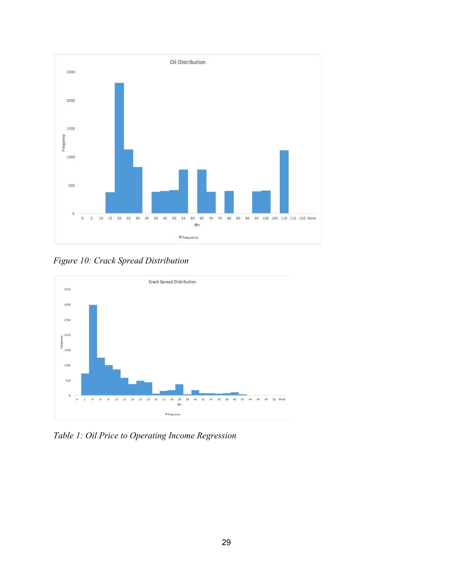

*Figure 10: Crack Spread Distribution*



*Table 1: Oil Price to Operating Income Regression*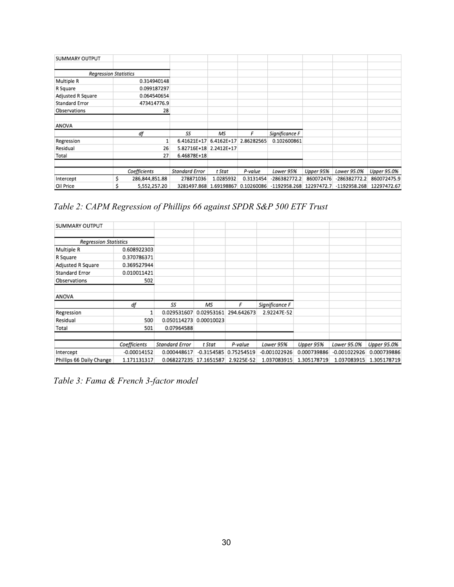| SUMMARY OUTPUT               |   |                |                        |              |            |                |            |                |             |
|------------------------------|---|----------------|------------------------|--------------|------------|----------------|------------|----------------|-------------|
|                              |   |                |                        |              |            |                |            |                |             |
| <b>Regression Statistics</b> |   |                |                        |              |            |                |            |                |             |
| Multiple R                   |   | 0.314940148    |                        |              |            |                |            |                |             |
| R Square                     |   | 0.099187297    |                        |              |            |                |            |                |             |
| Adjusted R Square            |   | 0.064540654    |                        |              |            |                |            |                |             |
| Standard Error               |   | 473414776.9    |                        |              |            |                |            |                |             |
| Observations                 |   | 28             |                        |              |            |                |            |                |             |
|                              |   |                |                        |              |            |                |            |                |             |
| ANOVA                        |   |                |                        |              |            |                |            |                |             |
|                              |   | df             | SS                     | MS           | F          | Significance F |            |                |             |
| Regression                   |   | 1              | 6.41621E+17            | $6.4162E+17$ | 2.86282565 | 0.102600861    |            |                |             |
| Residual                     |   | 26             | 5.82716E+18 2.2412E+17 |              |            |                |            |                |             |
| Total                        |   | 27             | 6.46878E+18            |              |            |                |            |                |             |
|                              |   |                |                        |              |            |                |            |                |             |
|                              |   | Coefficients   | Standard Error         | t Stat       | P-value    | Lower 95%      | Upper 95%  | Lower 95.0%    | Upper 95.0% |
| Intercept                    | Ś | 286,844,851.88 | 278871036              | 1.0285932    | 0.3131454  | $-286382772.2$ | 860072476  | $-286382772.2$ | 860072475.9 |
| Oil Price                    |   | 5,552,257.20   | 3281497.868 1.69198867 |              | 0.10260086 | $-1192958.268$ | 12297472.7 | $-1192958.268$ | 12297472.67 |

*Table 2: CAPM Regression of Phillips 66 against SPDR S&P 500 ETF Trust*

| SUMMARY OUTPUT               |               |                |              |            |                |             |                |             |
|------------------------------|---------------|----------------|--------------|------------|----------------|-------------|----------------|-------------|
|                              |               |                |              |            |                |             |                |             |
| <b>Regression Statistics</b> |               |                |              |            |                |             |                |             |
| Multiple R                   | 0.608922303   |                |              |            |                |             |                |             |
| R Square                     | 0.370786371   |                |              |            |                |             |                |             |
| Adjusted R Square            | 0.369527944   |                |              |            |                |             |                |             |
| Standard Error               | 0.010011421   |                |              |            |                |             |                |             |
| Observations                 | 502           |                |              |            |                |             |                |             |
| ANOVA                        |               |                |              |            |                |             |                |             |
|                              | df            | SS             | ΜS           | F          | Significance F |             |                |             |
| Regression                   | 1             | 0.029531607    | 0.02953161   | 294.642673 | 2.92247E-52    |             |                |             |
| Residual                     | 500           | 0.050114273    | 0.00010023   |            |                |             |                |             |
| Total                        | 501           | 0.07964588     |              |            |                |             |                |             |
|                              |               |                |              |            |                |             |                |             |
|                              | Coefficients  | Standard Error | t Stat       | P-value    | Lower 95%      | Upper 95%   | Lower 95.0%    | Upper 95.0% |
| Intercept                    | $-0.00014152$ | 0.000448617    | $-0.3154585$ | 0.75254519 | $-0.001022926$ | 0.000739886 | $-0.001022926$ | 0.000739886 |
| Phillips 66 Daily Change     | 1.171131317   | 0.068227235    | 17.1651587   | 2.9225E-52 | 1.037083915    | 1.305178719 | 1.037083915    | 1.305178719 |

*Table 3: Fama & French 3-factor model*